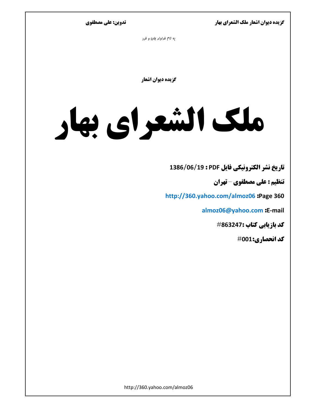تدوين: على مصطفوي

به نام فراونر بان و فرر

گزیده دیوان اشعار

# ملک الشعرای بهار

تاريخ نشر الكترونيكي فايل PDF : 1386/06/19 1386

تنظیم : علی مصطفوی - تهران

http://360.yahoo.com/almoz06 :Page 360

almoz06@yahoo.com :E-mail

**كد بازيابي كتاب :863247**#

كد انحصاري:001#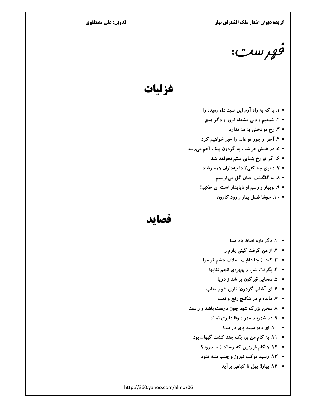تدوین: علی مصطفوی

egy wr "

غزليات

- ۱. یا که به راه آرم این صید دل رمیده را
- ۲. شمعیم و دلی مشعلهافروز و دگر هیچ
	- ۳. رخ تو دخلی به مه ندارد
- ۴. آخر از جور تو عالم را خبر خواهیم کرد
- ۵. در غمش هر شب به گردون پیک آهم میرسد
	- ۶. اگر تو رخ بنمایی ستم نخواهد شد
	- ۷. دعوی چه کنی؟ داعیهداران همه رفتند
		- ۸. به گلگشت جنان گل میفرستم
	- ۹. نوبهار و رسم او ناپایدار است ای حکیم!
		- ١٠. خوشا فصل بهار و رود كارون

### قصايد

- ١. دگر باره خياط باد صبا
- ۲. از من گرفت گیتی یارم را
- ۳. کند از جا عاقبت سیلاب چشم تر مرا
	- ۴. بگرفت شب ز چهرهی انجم نقابها
		- ۵. سحابي قيرگون بر شد ز دريا
	- ۶. ای آفتاب گردون! تاری شو و متاب
		- ۷. ماندهام در شکنج رنج و تعب
- ۸. سخن بزرگ شود چون درست باشد و راست
	- ۹. در شهربند مهر و وفا دلبری نماند
		- ١٠. اى ديو سپيد پاى در بند!
	- ١١. به كام من بر، يك چند گشت گيهان بود
		- 1۲. هنگام فرودین که رساند ز ما درود؟
		- 1۳. رسید موکب نوروز و چشم فتنه غنود
			- ۱۴. بهارا! بهل تا گیاهی بر آید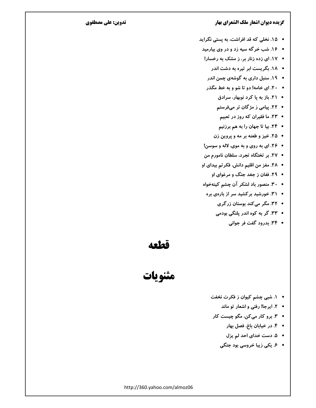### تدوين: على مصطفوي

- 1۵. نخلی که قد افراشت، به پستی نگراید
- ۱۶. شب خرگه سیه زد و در وی بیارمید
- 1۷. ای زده زنار بر، ز مشک به رخسار!
	- ۱۸. بگریست ابر تیره به دشت اندر
	- ۱۹. سنبل داری به گوشهی چمن اندر
- ۲۰. ای خامه! دو تا شو و به خط مگذر
	- ٢١. باز به يا كرد نوبهار، سرادق
	- ۲۲. پیامی ز مژگان تر میفرستم
		- ۲۳. ما فقیران که روز در تعبیم
		- ٢۴. بيا تا جهان را به هم برزنيم
	- ٢٥. خيز و طعنه بر مه و پروين زن
- ٢۶. ای به روی و به موی، لاله و سوسن!
- ٢٧. بر تختگاه تجرد، سلطان نامورم من
- ٢٨. مغز من اقليم دانش، فكرتم بيداي او
	- ٢٩. فغان ز جغد جنگ و مرغوای او
- ٣٠. منصور باد لشكر آن چشم كينهخواه
- ۳۱. خورشید بر کشید سر از بارهی بره
	- ٣٢. مگر میکند بوستان زرگری
	- ۳۳. گر به کوه اندر پلنگی بودمی
		- ٣۴. بدرود گفت فر جوانی

قطعه

مثنويات

- ١. شبي چشم كيوان ز فكرت نخفت
	- ٢. ايرجا! رفتي و اشعار تو ماند
- ۳. برو کار میکن، مگو چیست کار
	- ۴. در خيابان باغ، فصل بهار
	- ۵. دست خدای احد لم یزل
	- ۶. یکی زیبا خروسی بود جنگی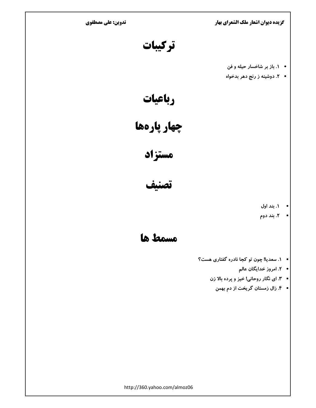تدوین: علی مصطفوی

گزیده دیوان اشعار ملک الشعرای بهار

تركيبات

- ١. باز بر شاخسار حیله و فن
- ۲. دوشینه ز رنج دهر بدخواه

رباعيات

چهار پارهها

مستزاد

تصنيف

- ۱. بند اول
- ۲. بند دوم

la tramo

- **.** ۱. سعدیا! چون تو کجا نادره گفتاری هست؟
	- **.** ۲. امروز خدایگان عالم
	- ٣. اى نگار روحانى! خيز و پرده بالا زن
		- **۴. زال زمستان گریخت از دم بهمن**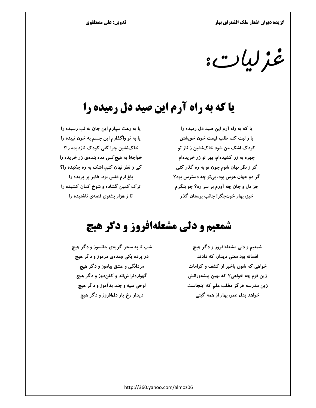تدوین: علی مصطفوی

یا به رهت سپارم این جان به لب رسیده را يا به تو واگذارم اين جسم به خون تپيده را

خاکنشین چرا کنی کودک نازدیده را؟

خواجه! به هیچ کس مده بندهی زر خریده را

کی ز نظر نهان کنم، اشک به ره چکیده را؟

غزليات:

# **یا که به راه آرم این صید دل رمیده را**

یا که به راه آرم این صید دل رمیده را يا ز لبت كنم طلب قيمت خون خويشتن کودک اشک من شود خاکنشین ز ناز تو چهره به زر کشیدهام، بهر تو زر خریدهام گر ز نظر نهان شوم چون تو به ره گذر کنی گر دو جهان هوس بود، بی تو چه دسترس بود؟ جز دل و جان چه آورم بر سر ره؟ چو بنگرم خيز، بهار خونجگر! جانب بوستان گذر

### باغ ارم قفس بود، طایر پر بریده را ترک کمین گشاده و شوخ کمان کشیده را تا ز هزار بشنوی قصهی ناشنیده را

# شمعیم و دلی مشعلهافروز و دگر هیچ

شب تا به سحر گريهي جانسوز و دگر هيچ در پرده یکی وعدهی مرموز و دگر هیچ مردانگی و عشق بیاموز و دگر هیچ گهوارهتراش!ند و کفندوز و دگر هیچ لوحي سيه و چند بدآموز و دگر هيچ دیدار رخ یار دلافروز و دگر هیچ

شمعیم و دلی مشعلهافروز و دگر هی<del>چ</del> افسانه بود معنی دیدار، که دادند خواهی که شوی باخبر از کشف و کرامات زین قوم چه خواهی؟ که بهین پیشهورانش زین مدرسه هرگز مطلب علم که اینجاست خواهد بدل عمر، بهار از همه گیتی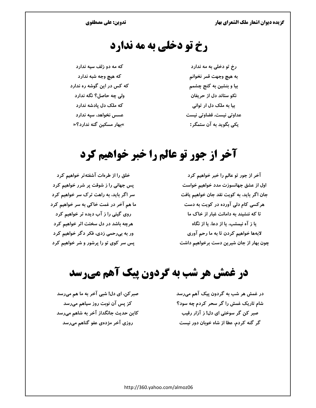# رخ تو دخلي به مه ندارد

که مه دو زلف سیه ندارد که هیچ وجه شبه ندارد که کس در این گوشه ره ندارد ولی چه حاصل؟ نگه ندارد که ملک دل یادشه ندارد عسس نخواهد، سپه ندارد »بهار مسکین گنه ندارد؟«

رخ تو دخلی به مه ندارد به هيچ وجهت قمر نخوانم بیا و بنشین به کنج چشمم نکو ستاند دل از حریفان بیا به ملک دل ار توانی عداوتی نیست، قضاوتی نیست یکی بگوید به آن ستمگر:

# آخر از جور تو عالم را خبر خواهیم کرد

آخر از جور تو عالم را خبر خواهیم کرد اول از عشق جهانسوزت مدد خواهیم خواست جان اگر باید، به کویت نقد جان خواهیم یافت هر کسی کام دلی آورده در کویت به دست تا که ننشیند به دامانت غبار از خاک ما یا ز آه نیمشب، یا از دعا، یا از نگاه لابهها خواهیم کردن تا به ما رحم آوری چون بهار از جان شیرین دست برخواهیم داشت

خلق را از طرهات آشفته تر خواهیم کرد یس جهانی را ز شوقت پر شرر خواهیم کرد سر اگر باید، به راهت ترک سر خواهیم کرد ما هم آخر در غمت خاکی به سر خواهیم کرد روی گیتی را ز آب دیده تر خواهیم کرد هرچه باشد در دل سختت اثر خواهیم کرد ور به بیرحمی زدی، فکر دگر خواهیم کرد یس سر کوی تو را پرشور و شر خواهیم کرد

# **در غمش هر شب به گردون پیک آهم میرسد**

در غمش هر شب به گردون پیک آهم میرسد شام تاریک غمش را گر سحر کردم چه سود؟ صبر کن گر سوختی ای دل! ز آزار رقیب گر گنه کردم، عطا از شاه خوبان دور نیست

صبر کن، ای دل! شبی آخر به ما هم میرسد کز پس آن نوبت روز سیاهم میرسد کاین حدیث جانگداز آخر به شاهم میرسد روزی آخر مژدهی عفو گناهم میرسد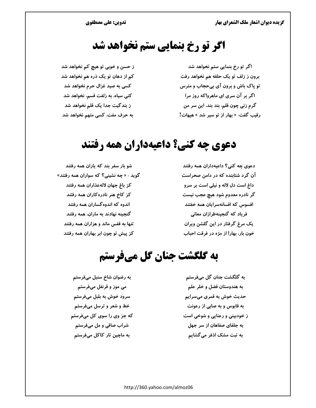تدوین: علی مصطفوی

# اگر تو رخ بنمایی ستم نخواهد شد

اگر تو رخ بنمایی ستم نخواهد شد برون ز زلف تو یک حلقه هم نخواهد رفت تو پاک باش و برون آی بیحجاب و مترس اگر بر آن سری ای ماهرو!که روز مرا گرم زنی چون قلم، بند بند، این سر من رقیب گفت: « بهار از تو سیر شد » هیهات!

ز حسن و خوبی تو هیچ کم نخواهد شد کم از دهان تو یک ذره هم نخواهد شد کسی به صید غزال حرم نخواهد شد کنی سیاه، به زلفت قسم، نخواهد شد ز بندگیت جدا یک قلم نخواهد شد به حرف مفت، کسی متهم نخواهد شد

# دعوي چه کني؟ داعيهداران همه رفتند

دعوی چه کنی؟ داعیهداران همه رفتند آن گرد شتابنده که در دامن صحراست داغ است دل لاله و نیلی است بر سرو گر نادره معدوم شود هیچ عجب نیست افسوس که افسانهسرایان همه خفتند فریاد که گنجینهطرازان معانی یک مرغ گرفتار در این گلشن ویران خون بار، بهار! از مژه در فرقت احباب

شو بار سفر بند که پاران همه رفتند گوید : « چه نشینی؟ که سواران همه رفتند» كز باغ جهان لالهعذاران همه رفتند کز کاخ هنر نادرهکاران همه رفتند اندوه که اندوه گساران همه رفتند گنجینه نهادند به ماران، همه رفتند تنها به قفس ماند و هزاران همه رفتند کز پیش تو چون ابر بهاران همه رفتند

### به گلگشت جنان گل میفرستم

به رضوان شاخ سنبل میفرستم می موز و قرنفل میفرستم سرود خوش به بلبل میفرستم خط و شعر و ترسل میفرستم که جز وی را سوی کل میفرستم شراب صافی و مل میفرستم به ماچین تار کاکل میفرستم

به گلگشت جنان گل میفرستم به هندوستان فضل و خلر علم حدیث خوش به قمری میسرایم به قابوس و به صابی از رعونت ز خودبینی و رعنایی و شوخی است به جلفای صفاهان از سر جهل به تبت مشک اذفر میگشایم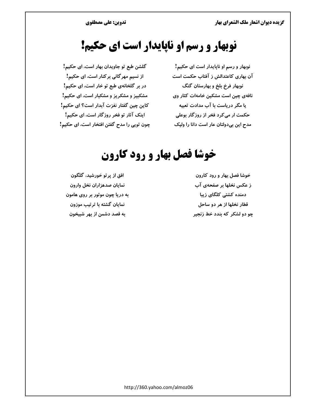# نوبهار و رسم او ناپایدار است ای حکیم!

گلشن طبع تو جاویدان بهار است، ای حکیم! از نسیم مهر گانی بر کنار است، ای حکیم! در بر گلخانهی طبع تو خار است، ای حکیم! مشکبیز و مشکریز و مشکبار است، ای حکیم! كاين چين گفتار نغزت آبدار است؟ اي حكيم! اینک آثار تو فخر روزگار است، ای حکیم! چون تویی را مدح گفتن افتخار است، ای حکیم!

نوبهار و رسم او ناپایدار است ای حکیم! آن بهاری کاعتدالش ز آفتاب حکمت است نوبهار فرخ بلخ و بهارستان گنگ نافهی چین است مشکین خامهات کثار وی یا مگر دریاست با آب مدادت تعبیه حکمت ار میکرد فخر از روزگار بوعلی مدح این بیدولتان عار است دانا را ولیک

# خوشا فصل بهار و رود کارون

افق از پر تو خورشید، گلگون نمايان صدهزاران نخل وارون به دریا چون موتور بر روی هامون نمایان گشته با ترتیب موزون به قصد دشمن از بهر شبیخون

خوشا فصل بهار و رود كارون ز عکس نخلها بر صفحهی آب دمنده کشتی کلگای زیبا قطار نخلها از هر دو ساحل چو دو لشکر که بندد خط زنجیر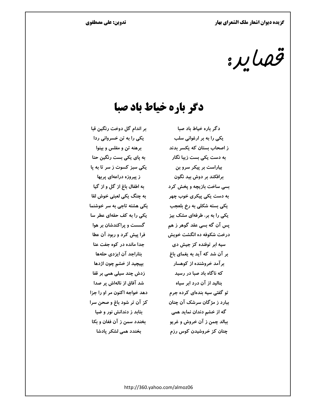قهاير:

### دگر باره خیاط باد صبا

دگر باره خیاط باد صبا یکی را به بر ارغوانی سلب ز اصحاب بستان که یکسر بدند به دست یکی بست زیبا نگار بیاراست بر پیکر سرو بن برافکند بر دوش بید نگون بسی ساخت بازیچه و پخش کرد به دست یکی پیکری خوب چهر یکی بسته شکلی به رخ بلعجب یکی را به بر، طرفهای مشک بیز یس آن گه بسی عقد گوهر ز هم درخت شکوفه ده انگشت خویش سیه ابر توفنده کز جیش دی بر آن شد که آید به یغمای باغ برآمد خروشنده از کوهسار که ناگاه باد صبا در رسید بنالید از آن درد ابر سیاه تو گفتی سیه بندهای کرده جرم ببارد ز مژگان سرشک آن چنان گه از خشم دندان نماید همی ببالد چمن ز آن خروش و غریو چنان کز خروشیدن کوس رزم

بر اندام گل دوخت رنگین قبا یکی را به تن خسروانی ردا برهنه تن و مفلس و بینوا به پای یکی بست رنگین حنا یکی سبز کسوت ز سر تا به پا ز پیروزه دراعهای پربها به اطفال باغ از گل و از گیا به چنگ یکی لعبتی خوش لقا یکی هشته تاجی به سر خوشنما یکی را به کف حقهای عطر سا گسست و پراکندشان بر هوا فرا پیش کرد و ربود آن عطا جدا مانده در کوه جفت عنا بتاراجد آن ایزدی حلهها بییچید از خشم چون اژدها زدش چند سیلی همی بر قفا شد آفاق از نالهاش پر صدا دهد خواجه اکنون مر او را جزا کز آن تر شود باغ و صحن سرا بتابد ز دندانش نور و ضیا بخندد سمن ز آن فغان و بکا بخندد همی لشکر یادشا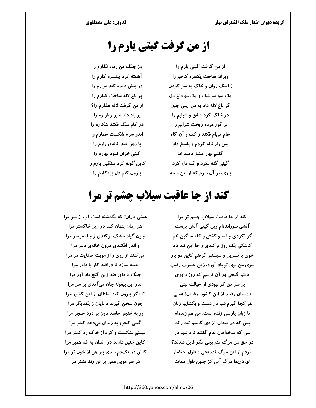# از من گرفت گیتی یارم را

از من گرفت گیتی یارم را وز چنگ من ربود نگارم را آشفته کرد یکسره کارم را ویرانه ساخت یکسره کاخم را در پیش دیده کند مزارم را ز اشک روان و خاک به سر کردن یک سو سرشک و یکسو داغ دل پر باغ لاله ساخت کنارم را گر باغ لاله داد به من، پس چون از من گرفت لاله عذارم را؟ بر باد داد صبر و قرارم را در خاک کرد عشق و شبابم را در کام سگ فکند شکارم را بر گور مرده ریخت شرابم را اندر سرم شکست خمارم را جام می|م فکند ز کف و آن گاه بس زار ناله کردم و پاسخ داد با زهر خند، نالهی زارم را گیتی خزان نمود بهارم را گفتم بهار عشق دمید اما گیتی گنه نکرد و گنه دل کرد کاین گونه کرد سنگین بارم را باری، بر آن سرم که از این سینه بیرون کنم دل بزهکارم را

# کند از جا عاقبت سیلاب چشم تر مرا

كند از جا عاقبت سيلاب چشم تر مرا آتشی سوزاندهام وین گیتی آتش پرست گر نکردی جامه و کفش و کله سنگین تنم کاشکی یک روز برکندی ز جا این تند باد خوی با نسرین و سیسنبر گرفتم کاین دو پار سوی من بوی تو باد آورد، زین حسرت رقیب یافتم گنجی وز آن ترسم که روز داوری

بر سر من گر نبودی از خیالت نیتی دوستان رفتند از این کشور، رقیبان! همتی هر کجا گیرم قلم در دست و بگشایم زبان تا زبان پارسی زنده است، من هم زندهام بس که در میدان آزادی کمیتم تند راند بس که بدخواهان بدم گفتند نزد شهریار در حق من مرگ تدریجی مگر قایل شدند؟ مردم از این مرگ تدریجی و طول احتضار ای دریغا مرگ آنی کز چنین طول ممات

همتی یاران! که بگذشته است آب از سر مرا هر زمان پنهان کند در زیر خاکستر مرا چون گیاه خشک برکندی ز جا صرصر مرا و اندر افکندی درون خانهی دلبر مرا می کنند از روی و از مویت حکایت مر مرا حیله سازد تا درافتد کار با داور مرا جنگ با داور فتد زین گنج باد آور مرا اندر این بیغوله جان میآمدی بر سر مرا تا مگر بیرون کند سلطان از این کشور مرا چون سخن گیرند دانایان ز یکدیگر مرا ور به خنجر حاسد دون بر درد حنجر مرا گیتی کجرو به زندان میدهد کیفر مرا قیمتم بشکست و کرد از خاک ره کمتر مرا کاین چنین دارند در زندان به غم همبر مرا کاش در یک دم شدی پیراهن از خون تر مرا هر سر مویی همی بر تن زند نشتر مرا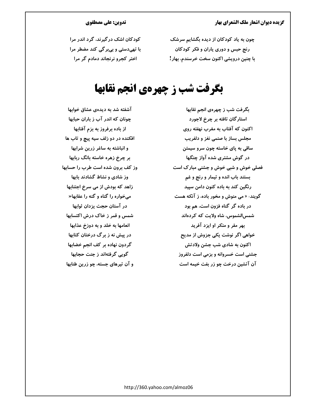چون به یاد کودکان از دیده بگشایم سرشک رنج حبس و دوری پاران و فکر کودکان با چنین درویشی اکنون سخت خرسندم، بهار!

### تدوین: علی مصطفوی

کودکان اشک در گیرند، گرد اندر مرا با تهیدستی و بیبر گی کند مضطر مرا اختر کجرو نرنجاند دمادم گر مرا

# بگرفت شب ز چهرهی انجم نقابها

بگرفت شب ز چهرهی انجم نقابها استارگان تافته بر چرخ لاجورد اکنون که آفتاب به مغرب نهفته روی مجلس بساز با صنمی نغز و دلفریب ساقي به پاي خاسته چون سرو سيمتن در گوش مشتری شده آواز چنگها فصلی خوش و شبی خوش و جشنی مبارک است بستند باب انده و تیمار و رنج و غم رنگین کند به باده کنون دامن سیید گویند: « می منوش و مخور باده، ز آنکه هست در باده گر گناه فزون است، هم بود شمس|لشموس، شاہ ولایت که کردہاند بهر مقر و منكر او ايزد آفريد خواهی اگر نوشت یکی جزوش از مدیح اکنون به شادی شب جشن ولادتش جشنی است خسروانه و بزمی است دلفروز آن آتشین درخت چو زر بفت خیمه است

آشفته شد به دیدهی عشاق خوابها چونان که اندر آب ز باران حبابها از باده برفروز به بزم آفتابها افکنده در دو زلف سیه پیچ و تاب ها و انباشته به ساغر زرین شرابها بر چرخ زهره خاسته بانگ ربابها وز کف برون شده است طرب را حسابها وز شادی و نشاط گشادند بابها زاهد که بودش از می سرخ اجتنابها میخواره را گناه و گنه را عقابها« در آستان حجت پزدان ثوابها شمس و قمر ز خاک درش اکتسابها انعامها به خلد و به دوزخ عذابها در پیش نه ز برگ درختان کتابها گردون نهاده بر کف انجم خضابها گوپی گرفتهاند ز جنت حجابها و آن تيرهاي جسته، چو زرين طنابها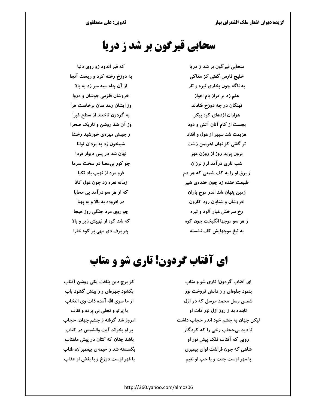# سحابي قيرگون بر شد ز دريا

که قیر اندود زو روی دنیا به دوزخ رخنه کرد و ریخت آنجا از آن چاه سيه سر زد به بالا خروشان قلزمی جوشان و دروا وز ایشان رعد سان برخاست هرا به گردون تاختند از سطح غبرا وز آن شد روشن و تاریک صحرا ز جیبش مهرهی خورشید رخشا شبیخون زد به یزدان توانا نهان شد در پس دیوار فردا چو کور بیعصا در سخت سرما فرو مرد از نهیب باد نکبا زمانه نعره زد چون غول کانا که از هر سو درآمد بی محابا در افزوده به بالا و به یهنا چو روی مرد جنگی روز هیجا که شد کوه از نهیبش زیر و بالا چو برف دی مهی بر کوه خارا

سحابی قیر گون بر شد ز دریا خلیج فارس گفتی کز مغاکی به ناگه چون بخاری تیره و تار علم زد بر فراز بام اهواز نهنگان در چه دوزخ فتادند هزاران اژدهای کوه پیکر بجست از کام آنان آتش و دود هزیمت شد سیهر از هول و افتاد تو گفتی کز نهان اهریمن زشت برون پرید روز از روزن مهر شب تاری در آمد لرز لرزان ز برق او را به کف شمعی که هر دم طبیعت خنده زد چون خندهی شیر زمین پنهان شد اندر موج باران خروشان و شتابان رود کارون رخ سرخش غبار آلود و تیره ز هر سو موجها انگیخت چون کوه به تیغ موجهایش کف نشسته

# **ای آفتاب گردون! تاری شو و متاب**

ای آفتاب گردون! تاری شو و متاب بنمود جلوهای و ز دانش فروخت نور شمس رسل محمد مرسل که در ازل تابنده بد ز روز ازل نور ذات او لیکن جهان به چشم خود اندر حجاب داشت تا دید بیحجاب رخی را که کردگار روپی که آفتاب فلک پیش نور او شاهی که چون فراشت لوای پیمبری با مهر اوست جنت و با حب او نعیم

كز برج دين بتافت يكي روشن آفتاب بگشود چهرهای و ز بینش گشود باب از ما سوی الله آمده ذات وی انتخاب با پرتو و تجلی بی پرده و نقاب امروز شد گرفته ز چشم جهان، حجاب بر او بخواند آیت والشمس در کتاب باشد چنان که کتان در پیش ماهتاب بگسسته شد ز خیمهی پیغمبران، طناب با قهر اوست دوزخ و با بغض او عذاب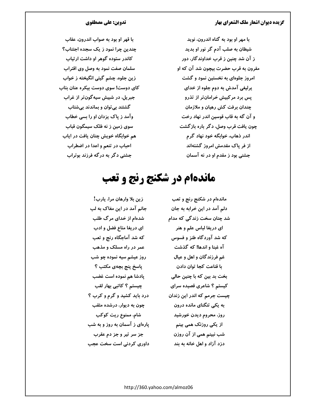با مهر او بود به گناه اندرون، نوید شیطان به صلب آدم گر نور او بدید ز آن شد چنین ز قرب خداوندگار، دور مقرون به قرب حضرت بیچون شد آن که او امروز جلوهای به نخستین نمود و گشت پرلیغی آمدش به دوم جلوه از خدای یس برد مرکبیش خرامانتر از تذرو چندان برفت کش رهیان و ملازمان و آن گه به قاب قوسین اندر نهاد رخت چون یافت قرب وصل، دگر باره بازگشت اندر ذهاب، خوابگه خود نهاد گرم از فر یاک مقدمش امروز گشتهاند جشنی بود ز مقدم او در نه آسمان

### تدوین: علی مصطفوی

با قهر او بود به صواب اندرون، عقاب چندین چرا نمود ز یک سجده اجتناب؟ کاندر ستوده گوهر او داشت ارتیاب سلمان صفت نمود به وصل وی اقتراب زین جلوه، چشم گیتی انگیخته ز خواب کای دوست! سوی دوست بیکره عنان بتاب جبریل، در شبیش سیه گونتر از غراب گشتند بی توان و بماندند بیشتاب وآمد ز پاک پزدان او را بسی خطاب سوی زمین ز نه فلک سیمگون قباب هم خوابگاه خویش چنان یافت در ایاب احباب در تنعم و اعدا در اضطراب جشنی دگر به درگه فرزند بوتراب

# ماندهام در شکنج رنج و تعب

ماندهام در شكنج رنج و تعب دلم آمد در این خرابه به جان شد چنان سخت زندگی که مدام ای دریغا لباس علم و هنر که شد آوردگاه طنز و فسوس آه غبنا و اندها! که گذشت غم فرزندگان و اهل و عیال با قناعت كجا توان دادن بخت بد بین که با چنین حالی کیستم ؟ شاعری قصیده سرای چیست جرمم که اندر این زندان به یکی تنگنای مانده درون روز، محروم ديدن خورشيد از یکی روزنک همی بینم شب نبینم همی از آن روزن دزد آزاد و اهل خانه به بند

زين بلا وارهان مرا، يارب! جانم آمد در این مغاک به لب شدهام از خدای مرگ طلب ای دریغا متاع فضل و ادب که شد آماجگاه رنج و تعب عمر در راه مسلک و مذهب روز عیشم سیه نموده چو شب ياسخ پنج بچەي مكتب ؟ يادشا هم نموده است غضب چیستم ؟ کاتبی بهار لقب درد باید کشید و گرم و کرب ؟ چون به دیوار، درشده مثقب شام، ممنوع ریت کوکب یارهای ز آسمان به روز و به شب جز سر تیر و جز دم عقرب داوری کردنی است سخت عجب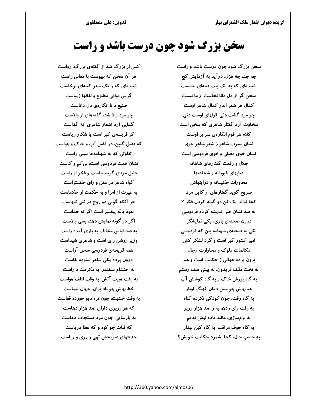# سخن بزرگ شود چون درست باشد و راست

سخن بزرگ شود چون درست باشد و راست چه جد، چه هزل، در آید به آزمایش کج شنیدهای که به یک بیت فتنهای بنشست سخن گر از دل دانا نخاست، زیبا نیست کمال هر شعر اندر کمال شاعر اوست چو مرد گشت دنی، قولهای اوست دنی سخاوت آرد گفتار شاعری که سخی است کلام هر قوم انگارهی سرایر اوست نشان سیرت شاعر ز شعر شاعر جوی نشان خوی دقیقی و خوی فردوسی است جلال و رفعت گفتارهای شاهانه عتابهای غیورانه و شجاعتها محاورات حکیمانه و درایتهاش صریح گوید گفتارهای او کاین مرد کجا تواند یک تن دو گونه کردن فکر ؟ به صد نشان هنر اندیشه کرده فردوسی درون صحنهی بازی، یکی نمایشگر یکی به صحنهی شهنامه بین که فردوسی امیر کشور گیر است و گرد لشکر کش مکالمات ملوک و محاوارت رجال برون پرده جهانی ز حکمت است و هنر به تخت ملک فریدون، به پیش صف رستم به گاه پوزش خاک و به گاه کوشش آب عتابهاش چو سیل دمان، نهنگ اوبار به گاه رقت، چون کودکی نکرده گناه به وقت رای زدن، به ز صد هزار وزیر به بزمسازی، مانند باده نوش ندیم به گاه خوف مراقب، به گاه کین بیدار به حسب حال، کجا بشمرد حکایت خویش؟

کس ار بزرگ شد از گفتهی بزرگ، رواست هر آن سخن که نپیوست با معانی راست شنیدهای که ز یک شعر کینهای برخاست گرش قوافی مطبوع و لفظها زیباست صنیع دانا انگارهی دل داناست چو مرد والا شد، گفتههای او والاست گدایی آرد اشعار شاعری که گداست اگر فریسهی کبر است یا شکار ریاست که فضل گلبن، در فضل آب و خاک و هواست تفاوتی که به شهنامهها ببینی راست نشان همت فردوسی است، بی کم و کاست دلیل مردی گوینده است و فخر او راست گواه شاعر در عقل و رای حکمتزاست به غیرت از امرا و به حکمت از حکماست جز آنکه گویی دو روح در تنی تنهاست نعوذ بالله پیغمبر است اگر نه خداست اگر دو گونه نمایش دهد، بسی والاست به صد لباس مخالف به بازی آمده راست وزیر روشن رای است و شاعری شیداست همه قریحهی فردوسی سخن آراست درون پرده یکی شاعر ستوده لقاست به احتشام سکندر، به مکرمت داراست به وقت هيبت آتش، به وقت لطف هواست خطابهاش چو باد بزان، جهان پیماست به وقت خشیت، چون نره دیو خورده قفاست که هر وزیری دارای صد هزار دهاست به پارسایی، چون مرد مستجاب دعاست گه ثبات چو کوه و گه عطا درياست حدیثهای صریحش تهی ز روی و ریاست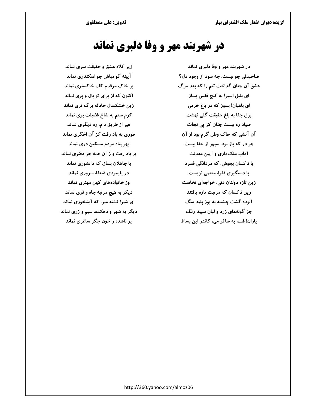# در شهربند مهر و وفا دلبری نماند

زیر کلاه عشق و حقیقت سری نماند آیینه گو مباش چو اسکندری نماند بر خاک مرقدم کف خاکستری نماند اکنون که از برای تو بال و پری نماند زین خشکسال حادثه برگ تری نماند کرم ستم به شاخ فضیلت بری نماند غیر از طریق دام، ره دیگری نماند طوری به باد رفت کز آن اخگری نماند بهر پناه مردم مسکین دری نماند بر باد رفت و ز آن همه جز دفتری نماند با جاهلان بساز، که دانشوری نماند در پایمردی ضعفا، سروری نماند وز خانوادههای کهن مهتری نماند دیگر به هیچ مرتبه جاه و فری نماند ای شیر! تشنه میر، که آبشخوری نماند دیگر به شهر و دهکده، سیم و زری نماند یر ناشده ز خون جگر ساغری نماند

در شهربند مهر و وفا دلبری نماند صاحبدلی چو نیست، چه سود از وجود دل؟ عشق آن چنان گداخت تنم را که بعد مرگ ای بلبل اسیر! به کنج قفس بساز ای باغبان! بسوز که در باغ خرمی برق جفا به باغ حقیقت گلی نهشت صیاد رہ ببست چنان کز پی نجات آن آتشی که خاک وطن گرم بود از آن هر در که باز بود، سپهر از جفا ببست آداب ملکداری و آیین معدلت با ناکسان بجوش، که مردانگی فسرد با دستگیری فقرا، منعمی نزیست زین تازه دولتان دنی، خواجهای نخاست زین ناکسان که مرتبت تازه یافتند آلوده گشت چشمه به پوز پلید سگ جز گونههای زرد و لبان سپید رنگ ياران! قسم به ساغر مي، كاندر اين بساط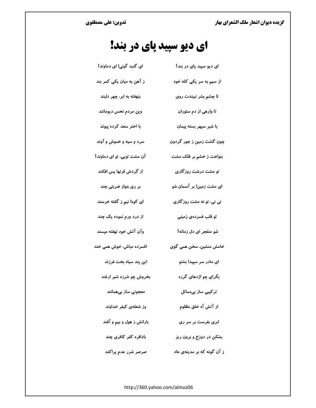# ای دیو سپید پای در بند!

| ای گنبد گیتی! ای دماوند!   | ای دیو سپید پای در بند!   |
|----------------------------|---------------------------|
| ز آهن به ميان يکي کمر بند  | از سیم به سر یکی کله خود  |
| بنهفته به ابر، چهر دلبند   | تا چشم بشر نبیندت روی     |
| وین مردم نحس دیومانند      | تا وارهی از دم ستوران     |
| با اختر سعد کرده پیوند     | با شیر سپهر بسته پیمان    |
| سرد و سیه و خموش و آوند    | چون گشت زمین ز جور گردون  |
| آن مشت تویی، تو ای دماوند! | بنواخت ز خشم بر فلک مشت   |
| از گردش قرنها پس افکند     | تو مشت درشت روزگاری       |
| بر ری بنواز ضربتی چند      | ای مشت زمین! بر آسمان شو  |
| ای کوه! نیم ز گفته خرسند   | نی نی، تو نه مشت روز گاری |
| از درد ورم نموده یک چند    | تو قلب فسردەی زمینی       |
| وآن آتش خود نهفته میسند    | شو منفجر ای دل زمانه!     |
| افسرده مباش، خوش همی خند   | خامش منشین، سخن همی گوی   |
| این پند سیاه بخت فرزند     | ای مادر سر سپید! بشنو     |
| بخروش چو شرزه شیر ارغند    | بگرای چو اژدهای گرزه      |
| معجونى ساز بىھمانند        | تر کیبی ساز بیمماثل       |
| وز شعلهی کیفر خداوند       | از آتش آه خلق مظلوم       |
| بارانش ز هول و بیم و آفند  | ابری بفرست بر سر ری       |
| بادافره کفر کافری چند      | بشکن در دوزخ و برون ریز   |
|                            |                           |

ز آن گونه که بر مدینهی عاد مسلم سرصر شرر عدم پراکند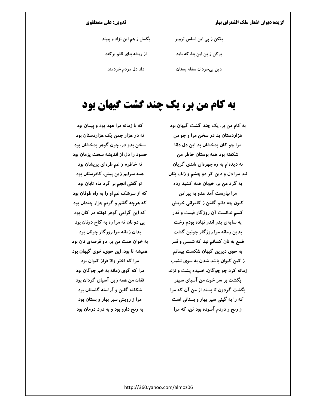#### تدوین: علی مصطفوی

| بگسل ز هم این نژاد و پیوند | بفکن ز پی این اساس تزویر    |
|----------------------------|-----------------------------|
| از ریشه بنای ظلم برکند     | بر کن ز بن این بنا، که باید |
| داد دل مردم خردمند         | زین بیخردان سفله بستان      |

### به کام من بر، یک چند گشت گیهان بود

به کام من بر، یک چند گشت گیهان بود هزاردستان بد در سخن مرا و چو من مرا چو کان بدخشان بد این دل دانا شکفته بود همه بوستان خاطر من نه دیدهام به ره چهرهای شدی گریان نبد مرا دل و دین کز دو چشم و زلف بتان به گرد من بر، خوبان همه کشید رده مرا نيارست آمد عدو به پيرامن کنون چه دانم گفتن ز کامرانی خویش کسم ندانست آن روزگار قیمت و قدر به سایهی پدر اندر نهاده بودم رخت بدین زمانه مرا روزگار چونین گشت طمع به نان کسانم نبد که شمس و قمر به خوی دیرین گیهان شکست پیمانم ز کین کیوان باشد شدن به سوی نشیب زمانه کرد چو چوگان، خمیده پشت و نژند بگشت بر سر خون من آسیای سپهر بگشت گردون تا بستد از من آن که مرا که را به گیتی سیر بهار و بستانی است ز رنج و دردم آسوده بود تن، که مرا

که با زمانه مرا عهد بود و پیمان بود نه در هزار چمن یک هزاردستان بود سخن بدو در، چون گوهر بدخشان بود حسود را دل از اندیشه سخت پژمان بود نه خاطرم ز غم طرهای پریشان بود همه سرایم زین پیش، کافرستان بود تو گفتی انجم بر گرد ماه تابان بود که از سرشک غم او را به راه طوفان بود که هرچه گفتم و گويم هزار چندان بود که این گرامی گوهر نهفته در کان بود یی دو نان نه مرا ره به کاخ دونان بود بدان زمانه مرا روزگار چونان بود به خوان همت من بر، دو قرصهی نان بود همیشه تا بود، این خوی، خوی گیهان بود مرا که اختر والا فراز کیوان بود مرا که گوی زمانه به خم چوگان بود فغان من همه زين آسياي گردان بود شکفته گلبن و آراسته گلستان بود مرا ز رویش سیر بهار و بستان بود به رنج دارو بود و به درد درمان بود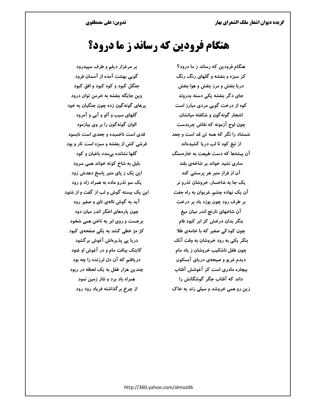# هنگام فرودین که رساند ز ما درود؟

هنگام فرودین که رساند ز ما درود؟ کز سبزه و بنفشه و گلهای رنگ رنگ دریا بنفش و مرز بنفش و هوا بنفش جای دگر بنفشه یکی دسته بدروند کوه از درخت گویی مردی مبارز است اشجار گونهگون و شکفته میانشان چون لوح آزمونه که نقاش چربدست شمشاد را نگر که همه تن قد است و جعد از تیغ کوه تا لب دریا کشیدهاند آن بیشهها که دست طبیعت به خارهسنگ ساری نشید خواند بر شاخهی بلند آن از فراز منبر هر پرسشی کند یک جا به شاخسار، خروشان تذرو نر آن یک نهاده چشم، غریوان به راه جفت بر طرف رود چون بوزد باد بر درخت **آن شاخهای نارنج اندر میان میغ** بنگر بدان درخش کز ابر کبود فام چون کودکی صغیر که با خامهی طلا بنگر یکی به رود خروشان به وقت آنک چون طفل ناشکیب خروشان ز یاد مام دیدم غریو و صیحهی دریای آبسکون بیچاره مادری است کز آغوشش آفتاب داند که آفتاب جگر گوشگانش را زین رو همی خروشد و سیلی زند به خاک

بر مرغزار دیلم و طرف سپیدرود گویی بهشت آمده از آسمان فرود جنگل کبود و کوه کبود و افق کبود وین جایگه بنفشه به خرمن توان درود پرهای گونهگون زده چون جنگیان به خود گلهای سیب و آلو و آبی و آمرود الوان گونهگون را بر وی بیازمود قدی است ناخمیده و جعدی است نابسود فرشی کش از بنفشه و سبزه است تار و پود گلها نشانده بیمدد باغبان و کود بلبل به شاخ کوته خواند همی سرود این یک ز پای منبر پاسخ دهدش زود یک سو تذرو ماده به همراه زاد و رود این یک ببسته گوش و لب از گفت و از شنود آید به گوش نالهی نای و صفیر رود چون پارههای اخگر اندر میان دود برجست و روی ابر به ناخن همی شخود کژ مژ خطی کشد به یکی صفحهی کبود دریا پی پذیرهاش آغوش بر گشود کاینک بیافت مام و در آغوش او غنود دریافتم که آن دل لرزنده را چه بود چندین هزار طفل به یک لحظه در ربود همراه باد برد و نثار زمین نمود از چرخ برگذاشته فریاد رود رود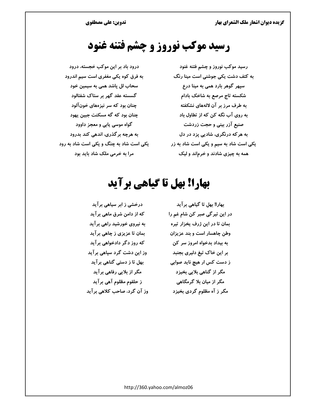# رسید موکب نوروز و چشم فتنه غنود

درود باد بر این موکب خجسته، درود به فرق کوه یکی مغفری است سیم اندرود سحاب لل پاشد همی به سیمین خود گسسته عقد گهر بر ستاک شفتالود چنان بود که سر نیزههای خونآلود چنان بود که گه مسکنت جبین یهود گواه موسی پابی و معجز داوود به هرچه بر گذری، اندهی کند بدرود یکی است شاد به چنگ و یکی است شاد به رود مرا به خرمی ملک شاد باید بود

رسید موکب نوروز و چشم فتنه غنود به کتف دشت یکی جوشنی است مینا رنگ سپهر گوهر بارد همی به مینا درع شکسته تاج مرصع به شاخک بادام به طرف مرز بر آن لالههای نشکفته به روی آب نگه کن که از تطاول باد صنیع آزر بینی و حجت زردشت به هر که درنگری، شادیی پزد در دل یکی است شاد به سیم و یکی است شاد به زر همه به چیزی شادند و خرماند و لیک

# بهارا! بهل تا گیاهی برآید

درخشی ز ابر سیاهی برآید که از دامن شرق ماهی بر آید به نیروی خورشید راهی برآید بمان تا عزیزی ز چاهی بر آید که روز دگر دادخواهی بر آید وز این دشت گرد سپاهی برآید بهل تا ز دستی گناهی برآید مگر از بلایی رفاهی برآید ز حلقوم مظلوم آهي برآيد وز آن گرد، صاحب کلاهی برآید

بهارا! بهل تا گیاهی بر آید در این تیرگی صبر کن شام غم را بمان تا در این ژرف یخزار تیره وطن چاهسار است و بند عزیزان به بیداد بدخواه امروز سر کن بر این خاک تیغ دلپری بجنبد ز دست کس ار هیچ ناید صوابی مگر از گناهی بلایی بخیزد مگر از میان بلا گرمگاهی مگر ز آه مظلوم گردی بخیزد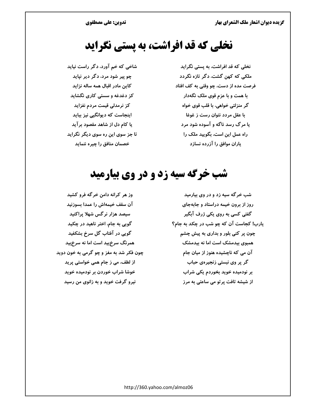### نخلی که قد افراشت، به پستی نگراید

نخلی که قد افراشت، به پستی نگراید ملکی که کهن گشت، دگر تازه نگردد فرصت مده از دست، چو وقتی به کف افتاد با همت و با عزم قوی ملک نگهدار گر منزلتی خواهی، با قلب قوی خواه با عقل مردد نتوان رست ز غوغا یا مرگ رسد ناگه و آسوده شود مرد راه عمل این است، بگویید ملک را یاران موافق را آزرده نسازد

شاخی که خم آورد، دگر راست نیاید چو پیر شود مرد، دگر دیر نپاید کاین مادر اقبال همه ساله نزاید کز دغدغه و سستی کاری نگشاید کز نرمدلی قیمت مردم نفزاید اینجاست که دیوانگیی نیز بباید یا کام دل از شاهد مقصود برآید تا جز سوی این ره سوی دیگر نگراید خصمان منافق را چیره ننماید

# **شب خرگه سیه زد و در وی بیارمید**

شب خرگه سیه زد و در وی بیارمید روز از برون خیمه دراستاد و جابهجای گفتی کسی به روی یکی ژرف آبگیر یارب! کجاست آن که چو شب در چکد به جام؟ چون پر کنی بلور و بداری به پیش چشم همبوی بیدمشک است اما نه بیدمشک آن می که ناچشیده هنوز از میان جام گر پر وی نبستی زنجیرهی حباب بر نودمیده خوید بخوردم یکی شراب از شیشه تافت پرتو می ساعتی به مرز

وز هر کرانه دامن خرگه فرو کشید آن سقف خیمهاش را عمدا بسوزنید سیصد هزار نرگس شهلا پراکنید گویی به جام، اختر ناهید در چکید گویی در آفتاب گل سرخ بشکفید همرنگ سرخ ید است اما نه سرخ بید چون فکر شد به مغز و چو گرمی به خون دوید از لطف، می ز جام همی خواستی پرید خوشا شراب خوردن بر نودمیده خوید نیرو گرفت خوید و به زانوی من رسید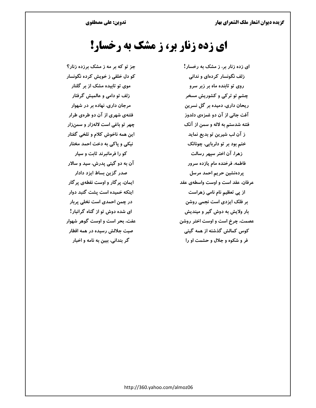تدوین: علی مصطفوی

گزیده دیوان اشعار ملک الشعرای بهار

# **ای زده زنار بر، ز مشک به رخسار!**

جز تو که بر مه ز مشک برزده زنار؟ کو دل خلقی ز خویش کرده نگونسار موی تو تابیده مشک از بر گلنار زلف تو دامی و عالمیش گرفتار مرجان داری، نهاده بر در شهوار فتنهی شهری از آن دو طرهی طرار چهر تو باغی است لالهزار و سمنزار این همه ناخوش کلام و تلخی گفتار نیکی و پاکی به دخت احمد مختار کو را فرمانبرند ثابت و سیار آن به دو گیتی پدرش، سید و سالار صدر گزین بساط ایزد دادار ایمان، پر گار و اوست نقطهی پر گار اینکه خمیده است پشت گنبد دوار در چمن احمدی است نخلی پربار ای شده دوش تو از گناه گرانبار! عفت، بحر است و اوست گوهر شهوار صیت جلالش رسیده در همه اقطار گر بندانی، ببین به نامه و اخبار

ای زده زنار بر، ز مشک به رخسار! زلف نگونسار کردهای و ندانی روی تو تابنده ماه بر زبر سرو چشم تو ترکی و کشوریش مسخر ریحان داری، دمیده بر گل نسرین آفت جانی از آن دو غمزهی دلدوز فتنه شدستم به لاله و سمن از آنک ز آن لب شیرین تو بدیع نماید ختم بود بر تو دلربایی، چونانک زهرا، آن اختر سپهر رسالت فاطمه، فرخنده مام یازده سرور پردەنشین حریم احمد مرسل عرفان، عقد است و اوست واسطهى عقد از پی تعظیم نام نامی زهراست بر فلک ایزدی است نجمی روشن بار ولایش به دوش گیر و میندیش عصمت، چرخ است و اوست اختر روشن کوس کمالش گذشته از همه گیتی فر و شکوه و جلال و حشمت او را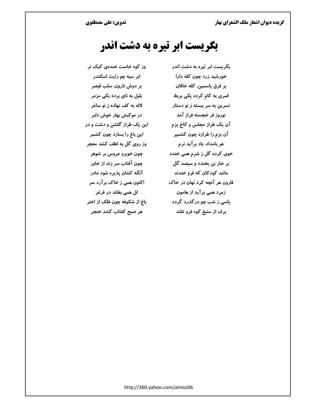### بگریست ابر تیره به دشت اندر

وز کوه خاست خندهی کبک نر بگریست ابر تیره به دشت اندر خورشید زرد چون کله دارا بر فرق ياسمين، كله خاقان قمری به کام کرده یکی بربط نسرین به سر ببسته ز نو دستار نوروز فر خجسته فراز آمد آن یک طراز مجلس و کاخ بزم آن بزم را طرازد چون کشمیر هر بامداد، باد برآید نرم خوی کرده گل ز شرم همی خندد بر خار بن بخندد و سیصد گل مانند کودکان که فرو خندند قارون هر آنچه کرد نهان در خاک زمرد همی بر آید از هامون پاسی ز شب چو در گذرد گردد برف از ستیغ کوه فرو غلتد

ابر سیه چو رایت اسکندر بر دوش نارون، سلب قیصر بلبل به نای برده یکی مزمر لاله به کف نهاده ز نو ساغر در موکېش بهار خوش دلېر این یک طراز گلشن و دشت و در این باغ را بسازد چون کشمر وز روی گل به لطف کشد معجر چون خوبرو عروس بر شوهر چون آفتاب سر زند از خاور آنگه کشان پذیره شود مادر اکنون همی ز خاک برآرد سر لل همی بغلتد در فرغر باغ از شکوفه چون فلک از اختر هر صبح کفتاب کشد خنجر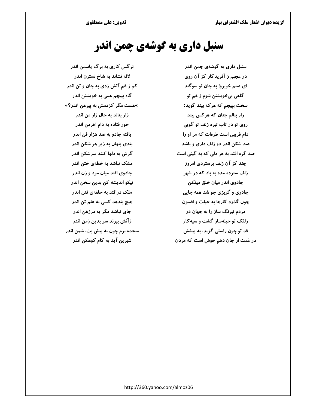# سنبل داري به گوشهي چمن اندر

نرگس کاری به برگ پاسمن اندر لاله نشاند به شاخ نسترن اندر کم ز غم آتش زدی به جان و تن اندر گاه بپیچم همی به خویشتن اندر »هست مگر کژدمش به پیرهن اندر؟« زار بنالد به حال زار من اندر حور فتاده به دام اهرمن اندر بافته جادو به صد هزار فن اندر بندی پنهان به زیر هر شکن اندر گرش به دلها کنند سرشکن اندر مشک نباشد به خطهی ختن اندر جادوی افتد میان مرد و زن اندر نیکو اندیشه کن بدین سخن اندر ملک درافتد به حلقهی فتن اندر هیچ بندهد کسی به علم تن اندر جای نباشد مگر به مرزغن اندر زآنش ببرند سر بدین زمن اندر سجده برم چون به پیش بت، شمن اندر شیرین آید به کام کوهکن اندر

سنبل داری به گوشهی چمن اندر در عجبم ز آفریدگار کز آن روی ای صنم خوبرو! به جان تو سوگند گاهي بيخويشتن شوم ز غم تو سخت بپیچم که هرکه بیند گوید: زار بنالم چنان که هرکس بیند روی تو در تاب تیره زلف تو گویی دام فریبی است طرهات که مر او را صد شکن اندر دو زلف داری و باشد صد گره افتد به هر دلی که به گیتی است چند کز آن زلف برستردی امروز زلف سترده مده به باد که در شهر جادوی اندر میان خلق میفکن جادوی و گرېزي چو شد همه جايي چون گذرد کارها به حیلت و افسون مردم نیرنگ ساز را به جهان در زلفک تو حیلهساز گشت و سیهکار قد تو چون راستی گزید، به پیشش در غمت ار جان دهم خوش است که مردن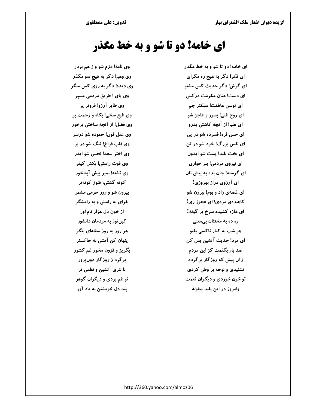### **ای خامه! دو تا شو و به خط مگذر**

وی نامه! دژم شو و ز هم بردر وی وهم! دگر به هیچ سو مگذر وی دیده! دگر به روی کس منگر وی پای ! طریق مردمی مسپر وي طاير آرزو! فروتر پر وی طبع سخی! بکاه و زحمت بر وی فضل! از آنچه ساختی برخور وي عقل قوي! خموده شو درسر وی قلب فراخ! تنگ شو در بر وي اختر سعد! نحس شو ايدر وی قوت راستی! بکش کیفر وي تشنه! بمير پيش آبشخور کوته گشتی، هنوز کوتهتر بیرون شو و روز خرمی مشمر بفزای به رامش و به رامشگر از خون دل هزار نامآور کین توز به مردمان دانشور هر روز به روز سفلهای بنگر پنهان کن آتشی به خاکستر بگريز و فزون مخور غم كشور بر گرد ز روزگار دونپرور با نثری آتشین و نظمی تر تو غم بردی و دیگران گوهر يند دل خويشتن به ياد آور

ای خامه! دو تا شو و به خط مگذر ای فکر! دگر به هیچ ره مگرای ای گوش! دگر حدیث کس مشنو ای دست! عنان مکرمت در کش ای توسن عاطفت! سبکتر چم ای روح غنی! بسوز و عاجز شو ای علم! از آنچه کاشتی بدرو ای حس فره! فسرده شو در پی ای نفس بزرگ! خرد شو در تن ای بخت بلند! یست شو ایدون ای نیروی مردمی! ببر خواری ای گرسنه! جان بده به پیش نان ای آرزوی دراز بهروزی! ای غصهی زاد و بوم! بیرون شو کاهندهی مردی! ای عجوز ری! ای غازه کشیده سرخ بر گونه! ره ده به مخنثان بیمعنی هر شب به کنار ناکسی بغنو ای مرد! حدیث آتشین بس کن صد بار بگفمت کز این مردم زآن پیش که روزگار برگردد نشنیدی و نوحه بر وطن کردی تو خون خوردی و دیگران نعمت وامروز در این پلید بیغوله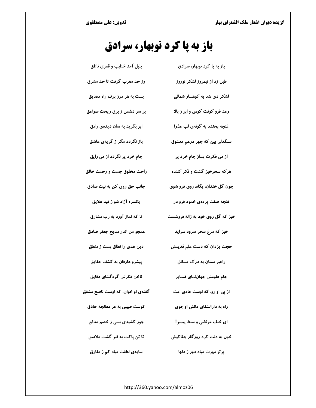# باز به پا کرد نوبهار، سرادق

| بلبل آمد خطیب و قمری ناطق        | باز به پا کرد نوبهار، سرادق      |
|----------------------------------|----------------------------------|
| وز حد مغرب گرفت تا حد مشرق       | طبل زد از نیمروز لشکر نوروز      |
| بست به هر مرز برف راه مضایق      | لشکر دی شد به کوهسار شمالی       |
| بر سر دشمن ز برق ریخت صواعق      | رعد فرو کوفت کوس و ابر ز بالا    |
| ابر بگريد به سان ديدهي وامق      | غنچه بخندد به گونهی لب عذرا      |
| باز نگردد مگر ز گریهی عاشق       | سنگدلی بین که چهر درهم معشوق     |
| جام خرد پر نگردد از می رایق      | از می فکرت بساز جام خرد پر       |
| راحت مخلوق جست و رحمت خالق       | هر که سحرخیز گشت و فکر کننده     |
| جانب حق روی کن به نیت صادق       | چون گل خندان، پگاه، روی فرو شوی  |
| یکسره آزاد شو ز قید علایق        | غنچه صفت پردهی خمود فرو در       |
| تا که نماز آورد به رب مشارق      | خیز که گل روی خود به ژاله فروشست |
| همچو من اندر مديح جعفر صادق      | خیز که مرغ سحر سرود سراید        |
| دین هدی را نطاق بست ز منطق       | حجت یزدان که دست علم قدیمش       |
| پیشرو عارفان به کشف حقایق        | راهبر ممنان به درک مسائل         |
| ناخن فكرش گرهگشای دقایق          | جام علومش جهاننمای ضمایر         |
| گفتهی او خوان، که اوست ناصح مشفق | از پی او رو، که اوست هادی امت    |
| کوست طبیبی به هر معالجه حاذق     | راه به دارالشفای دانش او جوی     |
| جور کشیدی بسی ز خصم منافق        | ای خلف مرتضی و سبط پیمبر!        |
| تا تن پاکت به قبر گشت ملاصق      | خون به دلت کرد روزگار جفاکیش     |
| سایهی لطفت مباد کم ز مفارق       | يرتو مهرت مباد دور ز دلها        |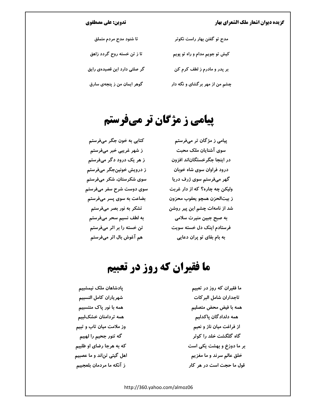#### تدوین: علی مصطفوی

| تا شنود مدح مردم متملق       | مدح تو گفتن بهار راست نکوتر    |
|------------------------------|--------------------------------|
| تا ز تن خسته روح گردد زاهق   | کیش تو جویم مدام و راه تو پویم |
| گر صلتی دارد این قصیدهی رایق | بر پدر و مادرم ز لطف کرم کن    |
| گوهر ایمان من ز پنجهی سارق   | چشم من از مهر برگشای و نگه دار |

# **پیامی ز مژگان تر میفرستم**

کتابی به خون جگر میفرستم پیامی ز مژگان تر میفرستم ز شهر غریبی خبر میفرستم ز هر یک درود دگر میفرستم ز درویش خونینجگر میفرستم سوی شکرستان، شکر میفرستم سوی دوست شرح سفر میفرستم بضاعت به سوی پسر میفرستم تشکر به نور بصر میفرستم به لطف نسیم سحر میفرستم تن خسته را بر اثر میفرستم هم آغوش بال اثر میفرستم

سوی آشنایان ملک محبت در اینجا جگرخستگاناند افزون درود فراوان سوی شاه خوبان گهر میفرستم سوی ژرف دریا ولیکن چه چاره؟ که از دار غربت ز بيتالحزن همچو يعقوب محزون شد از نامهات چشم این پیر روشن به صبح جبین منیرت سلامی فرستادم اینک دل خسته سویت به بام بقای تو پران دعایی

# ما فقیران که روز در تعبیم

یادشاهان ملک نیمشبیم شهرياران كامل النسبيم همه با نور یاک منتسبیم همه تردامنان خشکلبیم وز ملامت میان تاب و تبیم گه تنور جحیم را لهبیم که به هرجا رضای او طلبیم اهل گیتی تن|ند و ما عصبیم ز آنکه ما مردمان بلعجبیم

ما فقیران که روز در تعبیم تاجداران شامل البر كات همه با فیض محض متصلیم همه دلدادگان باکدلیم از فراغت میان ناز و نعیم گاه گلگشت خلد را کوثر بر ما دوزخ و بهشت یکی است خلق عالم سرند و ما مغزیم قول ما حجت است در هر کار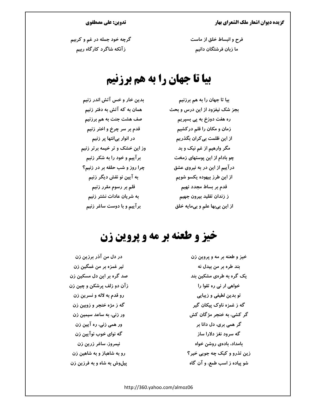### تدوین: علی مصطفوی

فرح و انبساط خلق از ماست ما زبان فرشتگان دانیم

گرچه خود جمله در غم و کربیم زآنکه شاگرد کارگاه ربیم

### بیا تا جهان را به هم برزنیم

بدین خار و خس آتش اندر زنیم همان به که آتش به دفتر زنیم صف هشت جنت به هم برزنیم قدم بر سر چرخ و اختر زنیم در انوار بیانتها پر زنیم وز این خشک و تر خیمه برتر زنیم برآییم و خود را به شکر زنیم چرا روز و شب حلقه بر در زنیم؟ به آیین نو نقش دیگر زنیم قلم بر رسوم مقرر زنیم به شریان عادات نشتر زنیم برآییم و با دوست ساغر زنیم

بیا تا جهان را به هم برزنیم بجز شک نیفزود از این درس و بحث ره هفت دوزخ به یی بسیریم زمان و مکان را قلم درکشیم از این ظلمت بی کران بگذریم مگر وارهیم از غم نیک و بد چو بادام از این پوستهای زمخت در آییم از این در به نیروی عشق از این طرز بیهوده یکسو شویم قدم بر بساط مجدد نهیم ز زندان تقليد بيرون جهيم از اين بي بها علم و بي مايه خلق

### خيز و طعنه بر مه و پروين زن

در دل من آذر برزین زن تير غمزه بر من غمگين زن صد گره بر این دل مسکین زن زآن دو زلف پرشکن و چین زن رو قدم به لاله و نسرين زن گه ز مژه خنجر و زوبین زن ور زنی، به ساعد سیمین زن ور همی زنی، ره آیین زن گه نوای خوب نوآیین زن نیمروز، ساغر زرین زن رو به شاهباز و به شاهین زن پیلوش به شاه و به فرزین زن

خيز و طعنه بر مه و پروين زن بند طره بر من بیدل نه یک گره به طرهی مشکین بند خواهی ار نی ره تقوا را تو بدین لطیفی و زیبایی گه ز غمزه ناوک پیکان گیر گر کشی، به خنجر مژگان کش گر همی بری، دل دانا بر گه سرود نغز دلارا ساز بامداد، بادەي روشن خواە زین تذرو و کبک چه جویی خیر؟ شو پیاده ز اسب طمع، و آن گاه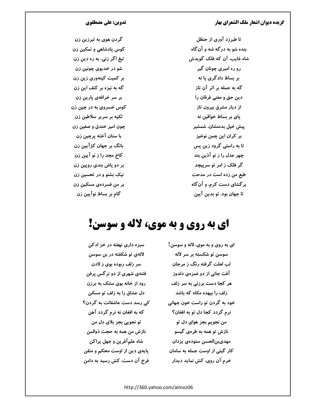تدوین: علی مصطفوی

گردن هوی به تبرزین زن کوس یادشاهی و تمکین زن تیغ اگر زنی، به ره دین زن شو در خديوي چونين زن بر کمیت کینهوری زین زن گه به نیزه بر کتف این زن بر سر خرافهی پارین زن کوس خسروی به در چین زن تکیه بر سریر سلاطین زن چون امیر خندق و صفین زن با سنان آخته پرچین زن بانگ بر جهان کژ آیین زن كاخ مجد را ز نو آيين زن بر دو پاش بندی رویین زن نیک بشنو و در تحسین زن بر من فسردهی مسکین زن گام بر بساط نوآیین زن

تا طبرزد آوری از حنظل بنده شو به درگه شه و آنگاه شاه غایب، آن که فلک گویدش رو ره امیری چونان گیر بر بساط دادگری یا نه گه به حمله بر اثر آن تاز دين حق و معنى فرقان را از دیار مشرق بیرون تاز ياي بر بساط خواقين نه پیش خیل بدمنشان، شمشیر بر كران اين چمن نوخيز تا به راستی گرود زین پس چهر عدل را ز نو آذین بند گر فلک ز امر تو سرپیچد طبع من زده است در مدحت برگشای دست کرم، و آن گاه تا جهان بود، تو بدين آيين

# اي به روي و به موي، لاله و سوسن!

ای به روی و به موی، لاله و سوسن! سوسن تو شکسته بر سر لاله لب لعلت گرفته رنگ ز مرجان آفت جانی از دو غمزهی دلدوز هر کجا دست برزنی به سر زلف زلف را بیهده مکاه که باشد خود به گردن تو راست خون جهانی نرم گردد کجا دل تو به افغان؟ من نجويم بجز هواي دل تو نازش تو همه به طرهی گیسو مهدىبن|لحسن ستودهى يزدان کار گیتی از اوست جمله به سامان خرم آن روی، کش نماید دیدار

سبزه داری نهفته در خز ادکن لالهی تو شکفته در بن سوسن سر زلف ربوده بوی ز لادن فتنهی شهری از دو نرگس پرفن رود از خانه بوی مشک به برزن دل عشاق را به زلف تو مسکن کی رسد دست عاشقانت به گردن؟ که به افغان نه نرم گردد آهن تو نجويي بجز بلاي دل من نازش من همه به حجت ذوالمن شاه علمآفرين و جهل پراکن یایهی دین از اوست محکم و متقن فرخ آن دست، کش رسید به دامن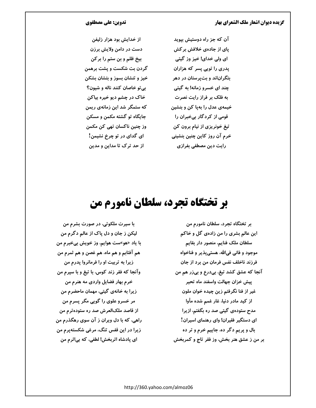### تدوین: علی مصطفوی

آن که جز راه دوستیش بپوید یای از جادهی خلافش بر کش ای ولی خدای! خیز وز گیتی پدری را توپی پسر که هزاران بتگراناند و بت پرستان در دهر چند ای خسرو زمانه! به گیتی به فلک بر فراز رایت نصرت خیمهی عدل را بهپا کن و بنشین قومی از کردگار بیخبران را تیغ خونریزی از نیام برون کن خرم آن روز كاين چنين بنشيني رایت دین مصطفی بفرازی

از خدایش بود هزار زلیفن دست در دامن ولایش برزن بیخ ظلم و بن ستم را بر کن گردن بت شکست و پشت برهمن خیز و تنشان بسوز و بتشان بشکن بي تو خاصان كنند ناله و شيون؟ خاک در چشم دیو خیره بیاکن که ستمگر شد این زمانهی ریمن جايگاه تو گشته مکمن و مسکن وز چنین ناکسان تھی کن مکمن ای گدای در تو چرخ نشیمن! از حد ترک تا مداین و مدین

# بر تختگاه تجرد، سلطان نامورم من

با سیرت ملکوتی، در صورت بشرم من لیکن ز جان و دل پاک از عالم دگرم من با ياد «هو»ست هوايم، وز خويش بيخبرم من هم آفتابم و هم ماه، هم غصن و هم ثمرم من زیرا به تربیت او را فرمانروا پدرم من وآنجا که فقر زند کوس، با تیغ و با سپرم من خرم بهار فضایل واردی مه هنرم من زیرا به خانهی گیتی، مهمان ماحضرم من مر خسرو علوی را گویی مگر پسرم من از قاصد ملکالعرش صد ره ستودهترم من راهی، که با دل ویران ز آن سوی رهگذرم من زیرا در این قفس تنگ، مرغی شکستهپرم من ای پادشاه اثربخش! لطفی، که بیاثرم من

بر تختگاه تجرد، سلطان نامورم من این عالم بشری را من زادهی گل و خاکم سلطان ملک فنایم، منصور دار بقایم موجود و فانی فیالله، هستی یذیر و فناخواه فرزند ناخلف نفس فرمان من برد از جان آنجا که عشق کشد تیغ، بیدرع و بیزر هم من ييش خزان جهالت واسفند ماه تحير غیر از فنا نگرفتم زین چیده خوان ملون از کید مادر دنیا، غار غمم شده مأوا مدح ستودهی گیتی صد ره بگفتم، ازیرا ای دستگیر فقیران! وای رهنمای اسیران! بال و پريم دگر ده، جاييم خرم و تر ده بر من ز عشق هنر بخش، وز فقر تاج و کمربخش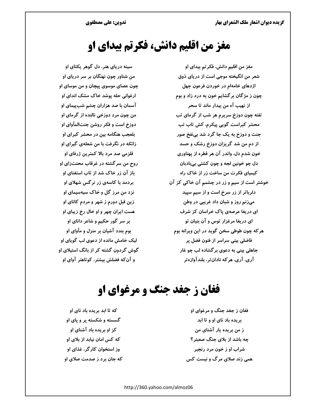# مغز من اقلیم دانش، فکرتم بیدای او

مغز من اقلیم دانش، فکر تم بیدای او شعر من انگیخته موجی است از دریای ذوق اژدهای خامهام در خوردن فرعون جهل چون ز مژگان برگشایم خون به درد زاد و بوم از نهيب آه من بيدار ماند تا سحر تفته چون دوزخ سرپرم هر شب از گرمای تب محشر کبراست گویی پیکرم، کش تاب تب جنت و دوزخ به یک جا گرد شد بینفخ صور از دم من شد گریزان دوزخ رشک و حسد خون شدم دل، واندر آن هر قطره از پهناوری دل چو خونین لجه و چون کشتی بیبادبان کیمیای فکرت من ساخت زر از خاک راه خوشتر است از سیم و زر در چشمم آن خاکی کز آن دلرباتر از زر سرخ است و از سیم سپید میزنم روز و شبان داد غریبی در وطن ای دریغا عرصهی پاک خراسان کز شرف ای دریغا مرغزار توس و آن بنیان تو هر که چون طوطی سخن گوید در این ویرانه بوم فاضلی بینی سراسر از فنون فضل پر جاهلی بینی به دعوی بر گشاده لب چو غار آری، آری، هر که نادانتر، بلندآوازهتر

سینه دریای هنر، دل گوهر یکتای او من شناور چون نهنگان بر سر دریای او چون عصای موسوی پیچان و من موسای او ارغوانی حله پوشد خاک مشک اندای او آسمان با صد هزاران چشم شبپیمای او من چون مرد دوزخی نالنده از گرمای او دوزخ است و فکر روشن جنتالمأوای او بلعجب هنگامه بین در محشر کبرای او زانکه در نگرفت با من شعلهی گیرای او قلزمی صد مرد بالا کمترین ژرفای او روح من سرگشته در غرقاب محنتزای او باز آن زر خاک شد از تاب استغنای او بردمد با کاسهی زر نرگس شهلای او نزد من مرز گل و خاک سیهسیمای او زین قبل دورم ز شهر و مردم کانای او هست ایران چهر و او خال رخ زیبای او بر سر گور حکیم و شاعر دانای او بوم بندد آشیان بر منزل و مأوای او لیک خامش مانده از دعوی لب گویای او گوش گردون گشته کر از بانگ استیلای او و آن که فضلش بیشتر، کوتاهتر آوای او

# **فغان ز جغد جنگ و مرغوای او**

که تا اېد بريده باد ناي او گسسته و شکسته پر و پای او کز او بریده باد آشنای او که کس امان نیابد از بلای او وز استخوان کار گر، غذای او که جان برد ز صدمت صلای او

فغان ز جغد جنگ و مرغوای او بریده باد نای او و تا ابد ز من بریده یار آشنای من چه باشد از بلای جنگ صعبتر؟ شراب او ز خون مرد رنجبر همی زند صلای مرگ و نیست کس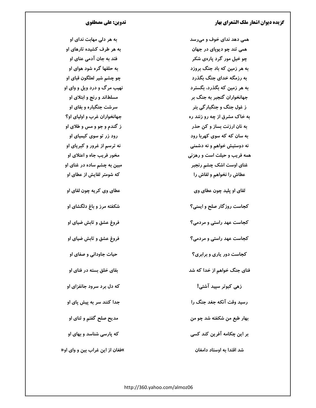همی دهد ندای خوف و میرسد همي تند چو ديوپای در جهان چو خیل مور گرد پارهی شکر به هر زمین که باد جنگ بروزد به رزمگه خدای جنگ بگذرد به هر زمین که بگذرد، بگسترد جهانخواران گنجبر به جنگ بر ز غول جنگ و جنگبار گی بتر به خاک مشرق از چه رو زنند ره به نان ارزنت بساز و کن حذر به سان که که سوی کهربا رود نه دوستیش خواهم و نه دشمنی همه فریب و حیلت است و رهزنی غنای اوست اشک چشم رنجبر عطاش را نخواهم و لقاش را لقای او پلید چون عطای وی کجاست روزگار صلح و ایمنی؟ کجاست عهد راستی و مردمی؟ کجاست عهد راستی و مردمی؟ کجاست دور یاری و برابری؟

فنای جنگ خواهم از خدا که شد

زهی کبوتر سیید آشتی!

رسید وقت آنکه جغد جنگ را

بهار طبع من شکفته شد چو من

بر این چکامه آفرین کند کسی

شد اقتدا به اوستاد دامغان

### تدوین: علی مصطفوی

به هر دلی مهابت ندای او به هر طرف کشیده تارهای او فتد به جان آدمی عنای او به حلقها گره شود هوای او چو چشم شیر لعلگون قبای او نهيب مرگ و درد ويل و واي او مسلطاند و رنج و ابتلای او سر شت جنگباره و بقای او جهانخواران غرب و اولیای او؟ ز گندم و جو و مس و طلای او رود زر تو سوی کیمیای او نه ترسم از غرور و کبریای او مخور فریب جاه و اعتلای او مبين به چشم ساده در غنای او که شومتر لقایش از عطای او عطای وی کریه چون لقای او شکفته مرز و باغ دلگشای او فروغ عشق و تابش ضیای او فروغ عشق و تابش ضیای او حیات جاودانی و صفای او بقای خلق بسته در فنای او که دل برد سرود جانفزای او جدا کنند سر به پیش پای او مدیح صلح گفتم و ثنای او که پارسی شناسد و بهای او »فغان از این غراب بین و وای او«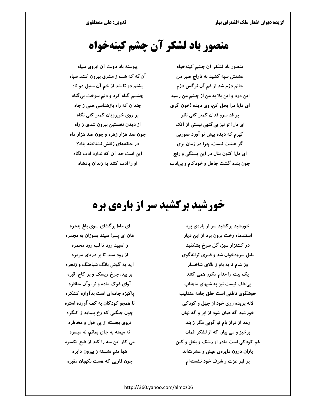# منصور باد لشکر آن چشم کینهخواه

منصور باد لشکر آن چشم کینهخواه عشقش سپه کشید به تاراج صبر من جانم دژم شد از غم آن نرگس دژم این درد و این بلا به من از چشم من رسید ای دل! مرا بحل کن، وی دیده !خون گری بر قد سرو قدان کمتر کنی نظر ای دل! تو نیز بی گنهی نیستی از آنک گیرم که دیده پیش تو آورد صورتی گر علتیت نیست، چرا در زمان بری ای دل! کنون بنال در این بستگی و رنج چون بنده گشت جاهل و خودکام و بی|دب

پیوسته باد دولت آن ابروی سیاه آنگه که شب ز مشرق بیرون کشد سپاه پشتم دو تا شد از خم آن سنبل دو تاه چشمم گناه کرد و دلم سوخت بی گناه چندان که راه بازشناسی همی ز چاه بر روی خوبرویان کمتر کنی نگاه از دیدن نخستین بیرون شدی ز راه چون صد هزار زهره و چون صد هزار ماه در حلقههای زلفش نشناخته پناه؟ این است حد آن که ندارد ادب نگاه او را ادب کنند به زندان پادشاه

# خورشید برکشید سر از بارهی بره

خورشید بر کشید سر از بارهی بره اسفندماه رخت برون برد از این دیار در کشتزار سبز، گل سرخ بشکفید بلبل سرودخوان شد و قمری ترانه گوی وز شام تا به بام ز بالای شاخسار یک بیت را مدام مکرر همی کنند بیلطف نیست نیز به شبهای ماهتاب خوشگوی ناطقی است خلق جامه عندلیب لاله بریده روی خود از جهل و کودکی خورشید گه عیان شود از ابر و گه نهان رعد از فراز بام تو گویی مگر ز بند برخیز و می بیار، که از لشکر غمان غم کودکی است مادر او رشک و بخل و کین یاران درون دایرهی عیش و عشرتاند بر قبر عزت و شرف خود نشستهام

ای ماه! بر گشای سوی باغ پنجره هان ای پسر! سپند بسوزان به مجمره ز اسپید رود تا لب رود محمره از رود سند تا بر دریای مرمره آید به گوش بانگ شباهنگ و زنجره بر بید، چرخ ریسک و بر کاج، قبره آوای غوک ماده و نر، وآن مناظره پاکیزه جامهای است بدآوازه کشکره تا همچو کودکان به کف آورده استره چون جنگیی که رخ بنماید ز کنگره دیوی بجسته از پی هول و مخاطره نه میمنه به جای بمانم، نه میسره می کار این سه را کند از طبع یکسره تنها منم نشسته ز بیرون دایره چون قارپی که هست نگهبان مقبره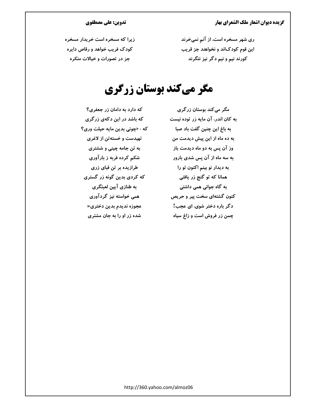ری شهر مسخره است، از آنم نمیخرند این قوم کودکاند و نخواهند جز قریب کورند نیم و نیم دگر نیز ننگرند

### تدوین: علی مصطفوی

زیرا که مسخره است خریدار مسخره کودک فریب خواهد و رقاص دایره جز در تصورات و خیالات منکره

# مگر میکند بوستان زرگری

مگر می کند بوستان زر گری به کان اندر، آن مایه زر توده نیست به باغ این چنین گفت باد صبا به ده ماه از این پیش دیدمت من وز آن پس به دو ماه دیدمت باز به سه ماه از آن پس شدی بارور به ديدار نو بينم اکنون تو را همانا که تو گنج زر یافتی به گاه جوانی همی داشتی کنون گشتهای سخت پیر و حریص دگر باره دختر شوی، ای عجب! چمن زر فروش است و زاغ سیاه

که دارد به دامان زر جعفری؟ که باشد در این دکهی زرگری که : «چونی بدین مایه حیلت وری؟ تهیدست و خستهتن از لاغری به تن جامه چینی و ششتری شکم کرده فربه ز بارآوری طرازیده بر تن قبای زری که کردی بدین گونه زر گستری به طنازی آیین لعبتگری همی خواسته نیز گردآوری عجوزه نديدم بدين دختري« شده زر او را به جان مشتری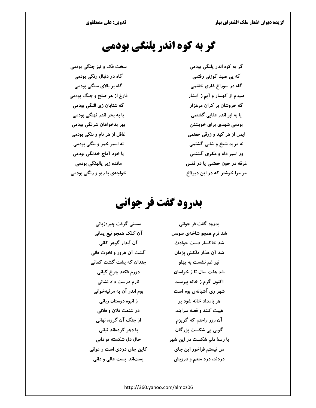# گر به کوه اندر پلنگی بودمی

گر به کوه اندر پلنگی بودمی گه پی صید گوزنی رفتمی گاه در سوراخ غاری خفتمی صیدم از کهسار و آبم ز آبشار گه خروشان بر کران مرغزار یا به ابر اندر عقابی گشتمی بودمی شهدی برای خویشتن ایمن از هر کید و زرقی خفتمی نه مرید شیخ و شابی گشتمی ور اسیر دام و مکری گشتمی غرقه در خون خفتمی یا در قفس مر مرا خوشتر که در این دیولاخ

سخت فک و تیز چنگی بودمی گاه در دنبال رنگی بودمی گاه بر بالای سنگی بودمی فارغ از هر صلح و جنگ بودمی گه شتابان زی النگی بودمی یا به بحر اندر نهنگی بودمی بهر بدخواهان شرنگی بودمی غافل از هر نام و ننگی بودمی نه اسیر خمر و بنگی بودمی یا خود آماج خدنگی بودمی مانده زیر پالهنگی بودمی خواجهي با ريو و رنگي بودمي

# بدرود گفت فر جوانی

سستی گرفت چیرهزبانی بدرود گفت فر جوانی آن کلک همچو تیغ یمانی شد نرم همچو شاخهی سوسن آن آبدار گوهر کانی شد خاکسار دست حوادث گشت آن غرور و نخوت فانی شد آن عذار دلکش پژمان چندان که پشت گشت کمانی تير غم نشست به پهلو دورم فكند چرخ كياني شد هفت سال تا ز خراسان نارم درست داد نشانی اکنون گرم ز خانه بپرسند بوم اندر آن به مرثیهخوانی شهر ری آشیانهی بوم است ز انبوه دوستان زبانی هر بامداد خانه شود پر در شنعت فلان و فلانی غیبت کنند و قصه سرایند آن روز راحت<sub>م</sub> که گریزم از چنگ آن گروه، نهانی با دھر کردہاند تبانی گوپی پی شکست بزرگان حال دل شکسته تو دانی یا رب! دلم شکست در این شهر کاین جای دزدی است و عوانی من نيستم فراخور اين جاي دزدند، دزد منعم و درویش یستاند، پست عالی و دانی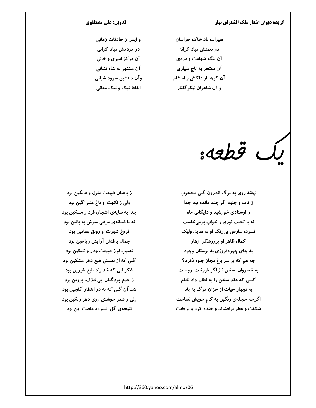سیراب باد خاک خراسان در نعمتش مباد کرانه آن بنگه شهامت و مردی آن مفتخر به تاج سپاری آن کوهسار دلکش و احشام و آن شاعران نیکوگفتار

#### تدوین: علی مصطفوی

و ایمن ز حادثات زمانی در مردمش مباد گرانی آن مرکز امیری و خانی آن مشتهر به شاه نشانی وآن دلنشین سرود شبانی الفاظ نیک و نیک معانی

ىك قطعە:

نهفته روی به برگ اندرون گلی محجوب ز تاب و جلوه اگر چند مانده بود جدا ز اوستادی خورشید و دایگانی ماه نه با تحیت نوری ز خواب برمیخاست فسرده عارض بی رنگ او به سایه، ولیک کمال ظاهر او پرورشگر ازهار به جای چهرهفروزی به بوستان وجود چه غم که بر سر باغ مجاز جلوه نکرد؟ به خسروان، سخن ناز اگر فروخت، رواست کسی که عقد سخن را به لطف داد نظام به نوبهار حیات از خزان مرگ به باد اگرچه حجلهی رنگین به کام خویش نساخت شکفت و عطر برافشاند و خنده کرد و بریخت

ز باغبان طبیعت ملول و غمگین بود ولي ز نکهت او باغ عنبر آگين بود جدا به سایهی اشجار، فرد و مسکین بود نه با فسانهی مرغی سرش به بالین بود فروغ شهرت او رونق بساتین بود جمال باطنش آرايش رياحين بود نصیب او ز طبیعت وقار و تمکین بود گلی که از نفسش طبع دهر مشکین بود شکر لبی که خداوند طبع شیرین بود ز جمع پردگیان، بیخلاف، پروین بود شد آن گلی که نه در انتظار گلچین بود ولی ز شعر خوشش روی دهر رنگین بود نتیجهی گل افسرده عاقبت این بود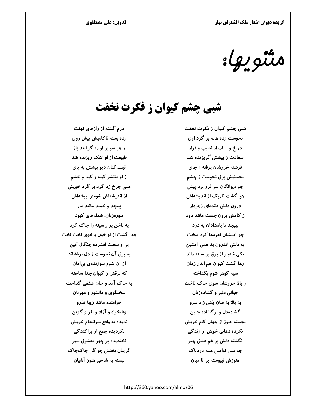تدوین: علی مصطفوی

متنويها:

شبی چشم کیوان ز فکرت نخفت

شبی چشم کیوان ز فکرت نخفت نحوست زده هاله بر گرد اوی دریغ و اسف از نشیب و فراز سعادت ز پیشش گریزنده شد فرشته خروشان برفته ز جای بجستیش برق نحوست ز چشم چو دیوانگان سر فرو برد پیش هوا گشت تاریک از اندیشهاش درون دلش عقدهای زهردار ز کامش برون جست مانند دود بییچد تا بامدادان به درد چو آبستنان نعرهها کرد سخت به دلش اندرون بد غمی آتشین یکی خنجر از برق بر سینه راند رها گشت کیوان هم اندر زمان سیه گوهر شوم بگداخته ز بالا خروشان سوی خاک تاخت حوانی دلیر و گشادهزبان به بالا به سان یکی زاد سرو گشادهدل و بر گشاده جبین نجسته هنوز از جهان كام خويش نکرده دهانی خوش از زندگی نگشته دلش بر غم عشق چیر چو بلبل نوایش همه دردناک هنوزش نیپوسته پر تا میان

دژم گشته از رازهای نهفت رده بسته ناکامیش پیش روی ز هر سو بر او ره گرفتند باز طبیعت از او اشک ریزنده شد تېسم کنان ديو پيشش به پای از او منتشر کینه و کید و خشم همی چرخ زد گرد بر گرد خویش از اندیشهاش شومتر، پیشهاش بییچد و خمید مانند مار تنورهزنان، شعلههای کبود به ناخن بر و سینه را چاک کرد جدا گشت از او خون و خوی لخت لخت بر او سخت افشرده چنگال کین به برق آن نحوست ز دل برفشاند از آن شوم سوزندهی بیامان که برقش ز کیوان جدا ساخته به خاک آمد و جان عشقی گداخت سخنگوی و دانشور و مهربان خرامنده مانند زیبا تذرو وطنخواه و آزاد و نغز و گزين نديده به واقع سرانجام خويش نگردیده جمع از پراکندگی نخندیده بر چهر معشوق سیر گريبان بختش چو گل چاکچاک نبسته به شاخی هنوز آشیان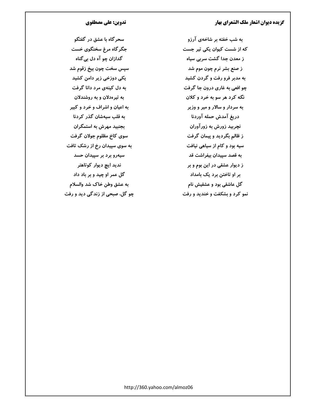تدوین: علی مصطفوی

سحر گاه با عشق در گفتگو جگر گاه مرغ سخنگوی خست گدازان چو آه دل بي گناه سيس سخت چون بيخ زقوم شد یکی دوزخی زیر دامن کشید به دل کینهی مرد دانا گرفت به تیرهدلان و به روشندلان به اعیان و اشراف و خرد و کبیر به قلب سیهشان گذر کردنا بجنبید مهرش به استمگران سوی کاخ مظلوم جولان گرفت به سوی سپیدان رخ از رشک تافت سیهرو برد بر سپیدان حسد ندید ای<del>چ</del> دیوار کوتاهتر گل عمر او چید و بر باد داد به عشق وطن خاک شد والسلام چو گل، صبحی از زندگی دید و رفت

به شب خفته بر شاخهی آرزو که از شست کیوان یکی تیر جست ز معدن جدا گشت سربی سیاه ز صنع بشر نرم چون موم شد به مدبر فرو رفت و گردن کشید چو افعی به غاری درون جا گرفت نگه کرد هر سو به خرد و کلان به سردار و سالار و میر و وزیر دريغ آمدش حمله آوردنا نچربید زورش به زورآوران ز ظالم بگردید و پیمان گرفت سیه بود و کام از سیاهی نیافت به قصد سپیدان بیفراشت قد ز دیوار عشقی در این بوم و بر بر او تاختن برد یک بامداد گل عاشقی بود و عشقیش نام نمو کرد و بشکفت و خندید و رفت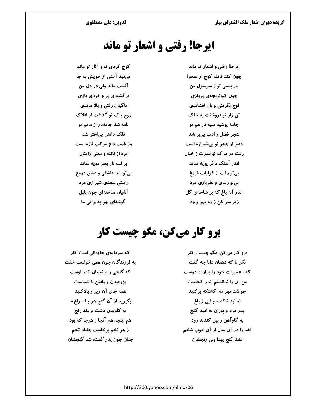# ایرجا! رفتی و اشعار تو ماند

کوچ کردی تو و آثار تو ماند مینهد آتشی از خویش به جا آتشت ماند ولی در دل من برگشودی پر و کردی بازی ناگهان رفتی و بالا ماندی روح پاک تو گذشت از افلاک نامه شد جامهدر از ماتم تو فلک دانش بیاختر شد وز غمت داغ مرکب تازه است مزه از نکته و معنی زامثال بر لب تار بجز مویه نماند بی تو شد عاشقی و عشق دروغ راستی سعدی شیرازی مرد آشیان ساختهای چون بلبل گوشهای بهر پذیرایی ما

ایرجا! رفتی و اشعار تو ماند چون کند قافله کوچ از صحرا بار بستی تو ز سرمنزل من چون کبوتربچەی پروازی اوج بگرفتی و بال افشاندی تن زار تو فروخفت به خاک جامه پوشید سیه در غم تو شجر فضل و ادب بیبر شد دفتر از هجر تو بیشیرازه است رفت در مرگ تو قدرت ز خیال اندر آهنگ دگر يويه نماند بي تو رفت از غزليات فروغ بی تو رندی و نظربازی مرد اندر آن باغ که بر شاخهی گل زیر سر کن ز ره مهر و وفا

# برو کار میکن، مگو چیست کار

که سرمایهی جاودانی است کار به فرزندگان چون همی خواست خفت که گنجی ز پیشینیان اندر اوست یژوهیدن و یافتن با شماست همه جای آن زیر و بالاکنید بگیرید از آن گنج هر جا سراغ« به کاویدن دشت بردند رنج هم اینجا، هم آنجا و هرجا که بود ز هر تخم برخاست هفتاد تخم چنان چون پدر گفت، شد گنجشان

برو کار میکن، مگو چیست کار نگر تا که دهقان دانا چه گفت که : « میراث خود را بدارید دوست من آن را ندانستم اندر کجاست چو شد مهر مه، کشتگه برکنید نمانید ناکنده جایی ز باغ پدر مرد و پوران به امید گنج به گاوآهن و بيل كندند زود قضا را در آن سال از آن خوب شخم نشد گنج پیدا ولی رنجشان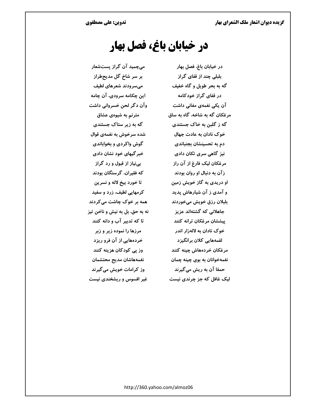# در خیابان باغ، فصل بهار

در خيابان باغ، فصل بهار بلبلی چند از قفای گراز گه به بحر طویل و گاه خفیف در قفای گراز خودکامه آن یکی نغمهی مغانی داشت مرغکان گه به شاخه، گاه به ساق گه ز گلبن به خاک جستندی خوک نادان به عادت جهال دم به تحسینشان بجنباندی نیز گاهی سری تکان دادی مرغکان لیک فارغ از آن راز ز آن به دنبال او روان بودند او دریدی به گاز خویش زمین و آمدی ز آن شیارهاش پدید بلبلان رزق خویش میخوردند جاهلانی که گشتهاند عزیز پیششان مرغکان ترانه کنند خوک نادان به لالهزار اندر لقمههایی کلان برانگیزد مرغكان خردههاش چينه كنند نغمهخوانان به بوی چینه چمان حمقا آن به ریش می گیرند لیک غافل که جز چرندی نیست

میچمید آن گراز پستشعار بر سر شاخ گل مدیحطراز میسرودند شعرهای لطیف این چکامه سرودی، آن چامه وآن دگر لحن خسروانی داشت مترنم به شیوهی عشاق گه به زیر ستاک جستندی شده سرخوش به نغمهی قوال گوش واکردی و بخواباندی خبر گیهای خود نشان دادی بي نياز از قبول و رد گراز که فقیران، گرسنگان بودند تا خورد بيخ لاله و نسرين کرمهایی لطیف، زرد و سفید همه بر خوک چاشت میکردند نه به حق، بل به نیش و ناخن تیز تا که تدبیر آب و دانه کنند مرزها را نموده زیر و زبر خردههایی از آن فرو ریزد وز پی کودکان هزینه کنند نغمههاشان مديح محتشمان وز کرامات خویش می گیرند غیر افسوس و ریشخندی نیست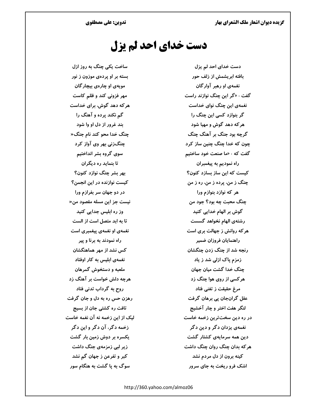### دست خدای احد لم یزل

ساخت یکی چنگ به روز ازل بسته بر او پردهی موزون ز نور مویهی او چارهی بیچار گان مهر فزونی کند و ظلم کاست هر که دهد گوش، برای خداست گم نکند پرده و آهنگ را بند غرور از دل او وا شود چنگ خدا محو کند نام جنگ« چنگزنی بهر وی آواز کرد سوی گروه بشر انداختیم تا بنماید ره دیگران بھر بشر چنگ نوازد کنون؟ کیست نوازنده در این انجمن؟ در دو جهان سر بفرازم ورا نيست جز اين مسله مقصود من« وز رہ ابلیس جدایی کنید تا به ابد متصل است از الست نغمهی او نغمهی پیغمبری است راه نمودند به برنا و پیر کس نشد از مهر هماهنگشان نغمهی ابلیس به کار اوفتاد ملعبه و دستخوش گمرهان هرچه دلش خواست بر آهنگ زد روح به گرداب تدنی فتاد رهزن حس ره به دل و جان گرفت تافت ره کشتی جان از بسیج لیک از این زخمه نه آن نغمه خاست زخمه دگر، آن دگر و این دگر یکسره بر دوش زمین بار گشت زیر لیے زمزمهی جنگ داشت کبر و تفرعن ز جهان گم نشد سوگ به یا گشت به هنگام سور

دست خدای احد لم یزل بافته ابریشمش از زلف حور نغمهی او رهبر آوارگان گفت : «گر این چنگ نوازند راست نغمهی این چنگ نوای خداست گر بنوازد کسی این چنگ را هر که دهد گوش و مهیا شود گرچه بود جنگ بر آهنگ چنگ چون که خدا چنگ چنین ساز کرد گفت که : «ما صنعت خود ساختیم راه نموديم به پيغمبران کیست که این ساز بسازد کنون؟ چنگ ز من، پرده ز من، ره ز من هر که نوازد بنوازم ورا چنگ محبت چه بود؟ جود من گوش بر الهام خدایی کنید رشتهی الهام نخواهد گسست هر که روانش ز جهالت بری است راهنمايان فروزان ضمير رنجه شد از چنگ زدن چنگشان زمزم یاک ازلی شد ز یاد چنگ خدا گشت میان جهان هر کسی از روی هوا چنگ زد مرغ حقیقت ز تغنی فتاد عقل گرانجان پی برهان گرفت لنگر هفت اختر و چار آخشیج در ره دین سختترین زخمه خاست نغمهي پزدان دگر و دين دگر دین همه سرمایهی کشتار گشت هر که بدان چنگ روان چنگ داشت کینه برون از دل مردم نشد اشک فرو ریخت به جای سرور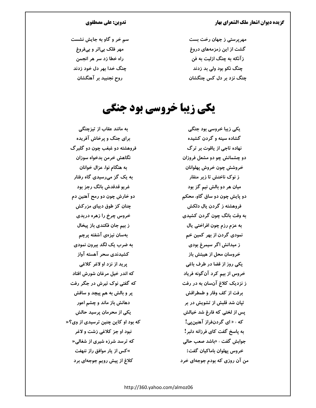مهریرستی ز جهان رخت بست گشت از این زمزمههای دروغ زآنکه به چنگ ازلیت به فن چنگ نکو بود ولی بد زدند چنگ نزد بر دل کس چنگشان

#### تدوین: علی مصطفوی

سم خر و گاو به جایش نشست مهر فلک بی|ثر و بیفروغ راه خطا زد سر هر انجمن چنگ خدا بهر دل خود زدند روح نجنبید بر آهنگشان

# **یکی زیبا خروسی بود جنگی**

به مانند عقاب از تیزچنگی برای جنگ و پرخاش آفریده فروهشته دو غبغب چون دو گلبرگ نگاهش خرمن بدخواه سوزان به هنگام نوا، عزال خوانان به یک گز میرسیدی گاه رفتار غريو قدقدش بانگ رجز بود دو خارش چون دو رمح آهنین دم چنان کز طوق دیبای مزرکش خروس چرخ را زهره دریدی ز بیم جان فکندی باز پیخال بەسان نیزەی آشفته پرچم به ضرب یک لگد بیرون نمودی كشيدندي سحر آهسته آواز يريد از نزد او لاغر كلاغي که اندر خیل مرغان شورش افتاد که گفتی نوک تیرش در جگر رفت پر و بالش به هم پیچد و ساقش دهانش باز ماند و چشم اعور یکی از محرمان پرسید حالش که بود او کاین چنین ترسیدی از وی؟« نبود او جز کلاغی زشت و لاغر که ترسد شرزه شیری از شغالی« »کس از یار موافق راز ننهفت كلاغ از پیش رویم جوجهای برد

یکی زیبا خروسی بود جنگی گشاده سینه و گردن کشیده نھادہ تاجی از پاقوت پر تر گ دو چشمانش چو دو مشعل فروزان خروشش چون خروش پهلوانان ز نوک ناخنش تا زیر منقار میان هر دو بالش نیم گز بود دو پایش چون دو ساق گاو، محکم فروهشته ز گردن پال دلکش به وقت بانگ چون گردن کشیدی به عزم رزم چون افراختی پال نمودی گردن از بھر کمین خم ز میدانش اگر سیمرغ بودی خروسان محل از هیبتش باز یکی روز از قضا در طرف باغی خروس از بیم کرد آن گونه فریاد ز نزدیک کلاغ آنسان به در رفت برفت از کف وقار و طمطراقش تیان شد قلبش از تشویش در بر پس از لختی که فارغ شد خیالش که ؛ « ای گردنفراز آهنینیی! به پاسخ گفت کای فرزانه دلبر! جوابش گفت : «باشد صعب حالی خروس پهلوان باماکیان گفت: من آن روزی که بودم جوجهای خرد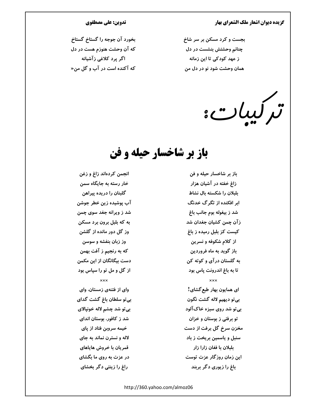بجست و کرد مسکن بر سر شاخ چنانم وحشتش بنشست در دل ز عهد کودکی تا این زمانه همان وحشت شود نو در دل من

تركيبات:

### باز بر شاخسار حیله و فن

انجمن كردهاند زاغ و زغن خار رسته به جایگاه سمن گلبنان را دریده پیراهن آب پوشیده زین خطر جوشن شد ز ویرانه جغد سوی چمن به که بلبل برون برد مسکن وز گل دور مانده از گلشن وز زبان بنفشه و سوسن كه به رنجيم ز آفت بهمن دست بیگانگان از این مکمن از گل و مل تو را سپاس بود وای از فتنهی زمستان، وای بی تو سلطان باغ گشت گدای بي تو شد چشم لاله خونپالاي شد ز کافور، بوستان اندای خیمه سروبن فتاد از پای لاله و نسترن نماند به جای قمریان با خروش هایاهای در عزت به روی ما بگشای راغ را زینتی دگر بخشای

تدوین: علی مصطفوی

بخورد آن جوجه را گستاخ گستاخ

که آن وحشت هنوزم هست در دل

اگر پرد کلاغی زآشیانه

که آکنده است در آب و گل من«

باز بر شاخسار حیله و فن زاغ خفته در آشیان هزار بلبلان را شکسته بال نشاط ابر افکنده از تگرگ خدنگ شد ز بیغوله بوم جانب باغ زآن چمن کشیان جغدان شد کیست کز بلبل رمیده ز باغ از کلام شکوفه و نسرین باز گوید به ماه فروردین به گلستان درآی و کوته کن تا به باغ اندرونت پاس بود ای همایون بهار طبع گشای! بي تو ديهيم لاله گشت نگون بي تو شد روي سبزه خاک آلود تو برفتی ز بوستان و خزان مخزن سرخ گل برفت از دست سنبل و یاسمین بریخت ز باد بلبلان با فغان زارا زار این زمان روزگار عزت توست باغ را زیوری دگر بربند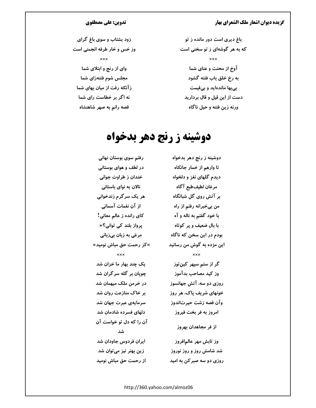### تدوین: علی مصطفوی

زود بشتاب و سوی باغ گرای وز خس و خار طرفه انجمنی است  $x \times x$ وای از رنج و ابتلای شما مجلس شوم فتنهزاي شما زآنکه رفت از میان بهای شما نه اگر بر خطاست رای شما قصه رانم به صهر شاهنشاه

باغ دیری است دور مانده ز تو که به هر گوشهای ز تو سخنی است **xxx** آوخ از محنت و عنای شما به رخ خلق باب فتنه گشود بیبها ماندهاید و بیقیمت دست از این قیل و قال بردارید ورنه زین فتنه و حیل ناگاه

# دوشینه ز رنج دهر بدخواه

رفتم سوی بوستان نهانی دوشینه ز رنج دهر بدخواه در لطف و هوای بوستانی تا وارهم از خمار جانکاه خندان ز طراوت جوانی دیدم گلهای نغز و دلخواه نالان به نوای باستانی مرغان لطيفطبع آگاه بر آتش روی گل شبانگاه هر یک سرگرم زندخوانی از آن نغمات آسمانی من بیخبرانه رفتم از راه كاي رانده ز عالم معاني! با خود گفتم به ناله و آه پرواز بلند کی توانی؟« با بال ضعیف و پر کوتاه مرغی به زبان بیزبانی بودم در این سخن که ناگاه »کز رحمت حق مباش نومید« این مژده به گوش من رسانید  $\overline{\mathbf{x}\mathbf{x}}$ یک چند بهار ما خزان شد گر از ستم سیهر کینتوز چویان بر گله سرگران شد وز کید مصاحب بدآموز در خرمن ملک میهمان شد روزی دو سه، آتش جهانسوز بر خاک منازعت روان شد خونهای شریف پاک، هر روز سرمایهی عبرت جهان شد وآن قصه زشت حیرتاندوز دلهای فسرده شادمان شد امروز به فر بخت فیروز آن را که دل تو خواست آن از فر مجاهدان بهروز شد ایران فردوس جاودان شد وز تابش مهر عالمافروز شد شامش روز و روز نوروز زین بهتر نیز میتوان شد روزی دو سه صبر کن به امید از رحمت حق مباش نومید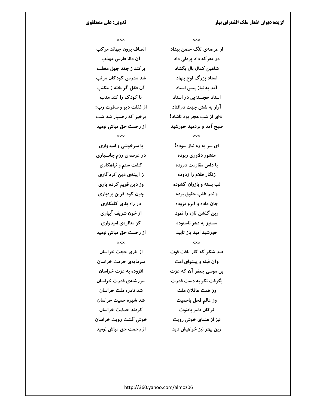#### تدوین: علی مصطفوی

 $x \times x$ 

**xxx** 

انصاف برون جهاند مركب آن دانا فارس مهذب بركند ز جغد جهل مخلب شد مدرس کودکان مرتب آن طفل گریخته ز مکتب تا کودک را کند مدب از غفلت ديو و سطوت رب: برخیز که رهسیار شد شب از رحمت حق مباش نومید  $x \times x$ با سرخوشی و امیدواری در عرصهی رزم جانسپاری کشت ستم و تباهکاری ز آیینهی دین کردگاری وز دین قویم کرده یاری چون کوه، قرین بردباری در راه بقای کامکاری از خون شريف آبياري کز منظرہی امیدواری از رحمت حق مباش نومید  $x \times x$ از یاری حجت خراسان سرمایهی حرمت خراسان افزوده به عزت خراسان سررشتهی قدرت خراسان شد نادره ملت خراسان شد شهره حمیت خراسان كردند حمايت خراسان خوش گشت رویت خراسان از رحمت حق مباش نومید

از عرصهی تنگ حصن بیداد در معرکه داد پردلی داد شاهین کمال بال بگشاد استاد بزرگ لوح بنهاد آمد به نیاز پیش استاد استاد خجستهیی در استاد آواز به شش جهت درافتاد »ای از شب هجر بود ناشاد! صبح آمد و بردمید خورشید  $\times\times\times$ ای سر به ره نیاز سوده! منشور دلاوری ربوده با داس مقاومت دروده زنگار ظلام را زدوده لب بسته و بازوان گشوده واندر طلب حقوق بوده جان داده و آبرو فزوده وین گلشن تازه را نمود مستیز به دهر ناستوده خورشید امید باز تابید  $x \times x$ صد شکر که کار یافت قوت وآن قبله و پیشوای امت بن موسى جعفر آن كه عزت بگرفت نکو به دست قدرت وز همت عاقلان ملت وز عالم فحل باحميت تر کان دلیر بافتوت نیز از علمای خوش رویت زین بهتر نیز خواهیش دید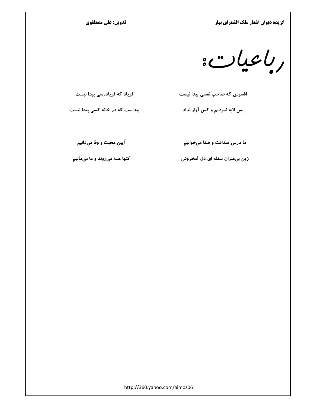#### تدوین: علی مصطفوی

 $:$   $\cup$   $\cup$ 

فریاد که فریادرسی پیدا نیست

پیداست که در خانه کسی پیدا نیست

بس لابه نمودیم و کس آواز نداد

آيين محبت و وفا ميدانيم

ما درس صداقت و صفا میخوانیم

افسوس که صاحب نفسی پیدا نیست

کنها همه میروند و ما میمانیم

زین بیهنران سفله ای دل !مخروش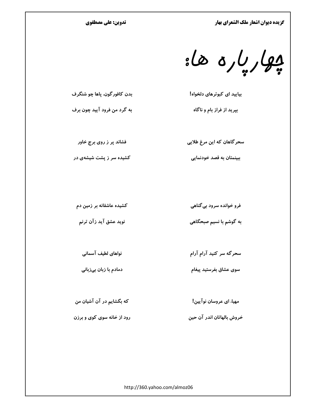تدوین: علی مصطفوی

بولرياره ها:

بیایید ای کبوترهای دلخواه!

بپرید از فراز بام و ناگاه

فشاند پر ز روی برج خاور

بدن کافور گون، پاها چو شنگر ف

به گرد من فرود آیید چون برف

کشیده سر ز پشت شیشهی در

سحر گاهان که این مرغ طلایی

ببینمتان به قصد خودنمایی

کشیده عاشقانه بر زمین دم

نوید عشق آید زآن ترنم

سحرگه سر کنید آرام آرام

فرو خوانده سرود بی گناهی

به گوشم با نسیم صبحگاهی

نواهای لطیف آسمانی

دمادم با زبان بیزبانی

سوی عشاق بفرستید پیغام

که بگشایم در آن آشیان من

رود از خانه سوی کوی و برزن

مهيا، اي عروسان نوآپين!

خروش بالهاتان اندر آن حين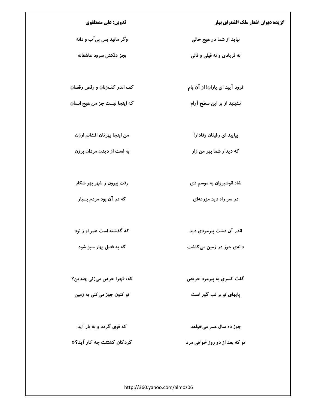تدوین: علی مصطفوی

وگر مانید بس بیآب و دانه

بجز دلكش سرود عاشقانه

کف اندر کف(نان و رقص رقصان

كه اينجا نيست جز من هيچ انسان

من اينجا بهرتان افشانم ارزن

به است از دیدن مردان برزن

رفت بیرون ز شهر بهر شکار

که در آن بود مردم بسیار

که گذشته است عمر او ز نود

که به فصل بهار سبز شود

دانهی جوز در زمین می کاشت

که: «چرا حرص میزنی چندین؟

تو کنون جوز میکنی به زمین

که قوی گردد و به بار آید

گردکان کشتنت چه کار آید؟«

جوز ده سال عمر میخواهد

تو که بعد از دو روز خواهی مرد

http://360.yahoo.com/almoz06

نشینید از بر این سطح آرام

بیایید ای رفیقان وفادار !

نیاید از شما در هیچ حالی

نه فريادي و نه قيلي و قالي

فرود آیید ای یاران! از آن بام

که دیدار شما بهر من زار

شاه انوشیروان به موسم دی

در سر راه دید مزرعهای

اندر آن دشت پیرمردی دید

گفت کسری به پیرمرد حریص

پایهای تو بر لب گور است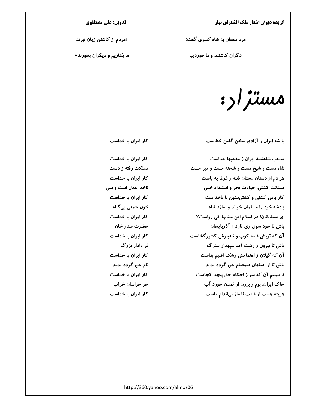مرد دهقان به شاه کسری گفت:

دگران کاشتند و ما خوردیم

### تدوين: على مصطفوي

«مردم از کاشتن زیان نبرند

ما بکاریم و دیگران بخورند»

مستزاره

با شه ایران ز آزادی سخن گفتن خطاست

مذهب شاهنشه ایران ز مذهبها جداست شاه مست و شیخ مست و شحنه مست و میر مست هر دم از دستان مستان فتنه و غوغا به پاست مملکت کشتی، حوادث بحر و استبداد خس کار پاس کشتی و کشتینشین با ناخداست پادشه خود را مسلمان خواند و سازد تباه ای مسلمانان! در اسلام این ستمها کی رواست؟ باش تا خود سوی ری تازد ز آذربایجان آن که تویش قلعه کوب و خنجرش کشور گشاست باش تا بیرون ز رشت آید سپهدار سترگ آن که گیلان ز اهتمامش رشک اقلیم بقاست باش تا از اصفهان صمصام حق گردد پدید تا ببینیم آن که سر ز احکام حق پیچد کجاست خاک ایران، بوم و برزن از تمدن خورد آب هرچه هست از قامت ناساز بیاندام ماست

کار ایران با خداست

كار ايران با خداست مملکت رفته ز دست كار ايران با خداست ناخدا عدل است و بس کار ایران با خداست خون جمعی بی گناه كار ايران با خداست حضرت ستار خان كار ايران با خداست فر دادار بزرگ كار ايران با خداست نام حق گردد پدید کار ایران با خداست جز خراسان خراب کار ایران با خداست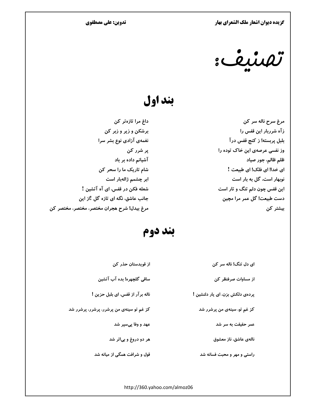تدوین: علی مصطفوی

<u>: indi</u>

# بند اول

مرغ سرح ناله سر کن زآه شرربار این قفس را بلبل پربسته! ز کنج قفس درآ وز نفسی عرصهی این خاک توده را ظلم ظالم، جور صياد ای خدا! ای فلک! ای طبیعت ! نوبهار است، گل به بار است این قفس چون دلم تنگ و تار است دست طبیعت! گل عمر مرا مچین بیشتر کن

از

داغ مرا تازەتر كن برشکن و زیر و زبر کن نغمهی آزادی نوع بشر سرا یر شرر کن آشیانم داده بر باد شام تاریک ما را سحر کن ابر چشمم ژالەبار است شعله فکن در قفس، ای آه آتشین ! جانب عاشق، نگه ای تازه گل !از این مرغ بيدل! شرح هجران مختصر، مختصر، مختصر كن

### بند دوم

| ای دل تنگ! ناله سر کن           | از قویدستان حذر کن                       |
|---------------------------------|------------------------------------------|
| از مساوات صرفنظر کن             | ساقی گلچهره! بده آب آتشین                |
| پردەى دلكش بزن، اى يار دلنشين ! | ناله برآر از قفس، ای بلبل حزین !         |
| کز غم تو، سینهی من پرشرر شد     | کز غم تو سینهی من پرشرر، پرشرر، پرشرر شد |
| عمر حقیقت به سر شد              | عهد و وفا پیسپر شد                       |
| نالەي عاشق، ناز معشوق           | هر دو دروغ و بیاثر شد                    |
| راستی و مهر و محبت فسانه شد     | قول و شرافت همگی از میانه شد             |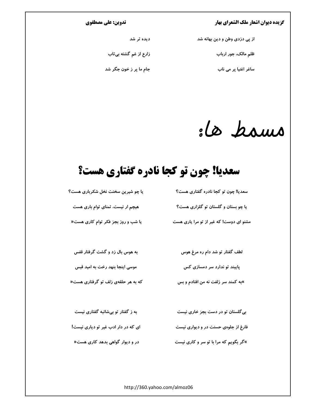#### تدوین: علی مصطفوی

| از پی دزدی وطن و دین بهانه شد | دیده تر شد             |
|-------------------------------|------------------------|
| ظلم مالک، جور ارباب           | زارع از غم گشته بیتاب  |
| ساغر اغنیا پر می ناب          | جام ما پر ز خون جگر شد |

:le bours

# سعديا! چون تو كجا نادره گفتاري هست؟

| یا چو شیرین سخنت نخل شکرباری هست؟   | سعدیا! چون تو کجا نادره گفتاری هست؟     |
|-------------------------------------|-----------------------------------------|
| هیچم ار نیست، تمنای توام باری هست   | یا چو بستان و گلستان تو گلزاری هست؟     |
| یا شب و روز بجز فکر توام کاری هست«  | مشنو ای دوست! که غیر از تو مرا یاری هست |
|                                     |                                         |
| به هوس بال زد و گشت گرفتار قفس      | لطف گفتار تو شد دام ره مرغ هوس          |
| موسی اینجا بنهد رخت به امید قبس     | پایبند تو ندارد سر دمسازی کس            |
| که به هر حلقهی زلف تو گرفتاری هست«  | »به کمند سر زلفت نه من افتادم و بس      |
|                                     |                                         |
| به ز گفتار تو بیشائبه گفتاری نیست   | بی گلستان تو در دست بجز خاری نیست       |
| ای که در دار ادب غیر تو دیاری نیست! | فارغ از جلوهی حسنت در و دیواری نیست     |

در و دیوار گواهی بدهد کاری هست« »گر بگویم که مرا با تو سر و کاری نیست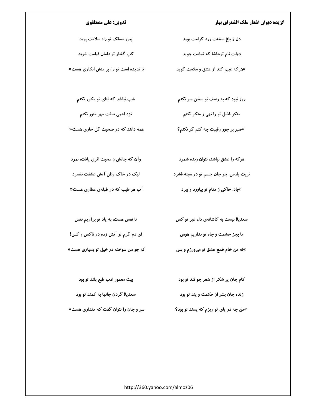#### تدوین: علی مصطفوی

پیرو مسلک تو راه سلامت پوید

کب گفتار تو دامان قیامت شوید

تا ندیده است تو را، بر منش انکاری هست«

شب نباشد که ثنای تو مکرر نکنم

نزد اعمی صفت مهر منور نکنم

همه دانند که در صحبت گل خاری هست«

منکر فضل تو را نهی ز منکر نکنم »صبر بر جور رقیبت چه کنم گر نکنم؟

روز نبود که به وصف تو سخن سر نکنم

دل ز باغ سخنت ورد کرامت بوید

دولت نام توحاشا که تمامت جوید

»هر که عیبم کند از عشق و ملامت گوید

وآن که جانش ز محبت اثری یافت، نمرد هر که را عشق نباشد، نتوان زنده شمرد لیک در خاک وطن آتش عشقت نفسرد تربت پارس، چو جان جسم تو در سینه فشرد آب هر طیب که در طبلهی عطاری هست« »باد، خاکی ز مقام تو بیاورد و ببرد

تا نفس هست، به یاد تو برآریم نفس ای دم گرم تو آتش زده در ناکس و کس! که چو من سوخته در خیل تو بسیاری هست«

سعدیا! نیست به کاشانهی دل غیر تو کس ما بجز حشمت و جاه تو نداریم هوس »نه من خام طمع عشق تو میورزم و بس

بیت معمور ادب طبع بلند تو بود کام جان پر شکر از شعر چو قند تو بود سعديا! گردن جانها به كمند تو بود زنده جان بشر از حکمت و پند تو بود سر و جان را نتوان گفت که مقداری هست« »من چه در پای تو ریزم که پسند تو بود؟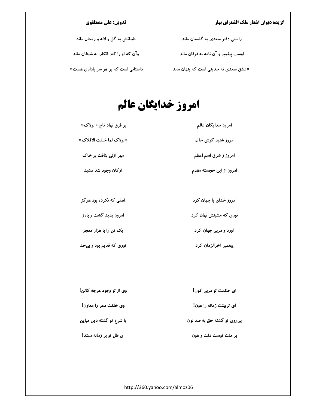### تدوین: علی مصطفوی

| طیباتش به گل و لاله و ریحان ماند      | راستی دفتر سعدی به گلستان ماند       |
|---------------------------------------|--------------------------------------|
| وآن که او را کند انکار، به شیطان ماند | اوست پیغمبر و آن نامه به فرقان ماند  |
| داستانی است که بر هر سر بازاری هست«   | »عشق سعدی نه حدیثی است که پنهان ماند |

# امروز خدايگان عالم

| بر فرق نهاد تاج « لولاک« | امروز خدايگان عالم      |
|--------------------------|-------------------------|
| »لولاك لما خلقت الافلاك« | امروز شنید گوش خاتم     |
| مهر ازلی بتافت بر خاک    | امروز ز شرق اسم اعظم    |
| ارکان وجود شد مشید       | امروز از این خجسته مقدم |
|                          |                         |

نوری که مشیتش نهان کرد

آورد و مربی جهان کرد

| لطفی که نکرده بود هرگز | امروز خدای با جهان کرد |
|------------------------|------------------------|
|------------------------|------------------------|

امروز پدید گشت و بارز

یک تن را با هزار معجز

پیغمبر آخرالزمان کرد نوری که قدیم بود و بیحد

| وی از تو وجود هرچه کائن! | ای حکمت تو مربی کون!       |
|--------------------------|----------------------------|
| وی خلقت دهر را معاون!    | ای تربیتت زمانه را عون!    |
| با شرع تو گشته دین مباین | بیروی تو گشته حق به صد لون |
| ای ظل تو بر زمانه ممتد!  | بر ملت توست ذلت و هون      |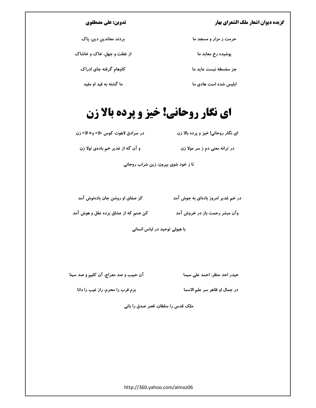#### تدوین: علی مصطفوی

| بردند معاندین دین، پاک     | حرمت ز مزار و مسجد ما |
|----------------------------|-----------------------|
| از غفلت و جهل، خاک و خاشاک | پوشیده رخ معابد ما    |
| کاوهام گرفته جای ادراک     | جز سفسطه نيست عايد ما |
| ما گشته به قید او مقید     | ابلیس شده است هادی ما |

# **ای نگار روحانی! خیز و پرده بالا زن**

در سرادق لاهوت کوس «لا» و» الا» زن ای نگار روحانی! خیز و پرده بالا زن

و آن گه از غدیر خم بادهی تولا زن در ترانه معنی دم ز سر مولا زن

تا ز خود شوی بیرون، زین شراب روحانی

در خم غدیر امروز بادهای به جوش آمد مسلم کز صفای او روشن جان بادهنوش آمد

وآن مبشر رحمت باز در خروش آمد مسموت که از عشاق برده عقل و هوش آمد

با هیولی توحید در لباس انسانی

آن حبیب و صد معراج، آن کلیم و صد سینا

حیدر احد منظر، احمد علی سیما

بزم قرب را محرم، راز غیب را دانا

در جمال او ظاهر سر علم الاسما

ملک قدس را سلطان، قصر صدق را بانی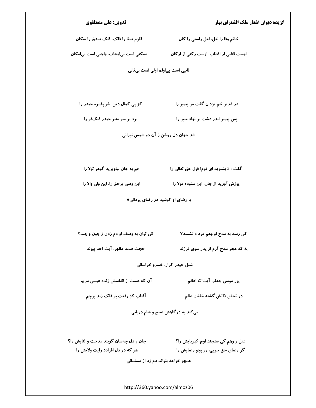#### تدوین: علی مصطفوی

قلزم صفا را فلک، فلک صدق را سکان خاتم وفا را لعل، لعل راستی را کان

اوست قطبی از اقطاب، اوست رکنی از ارکان مصلحتی است بی ایجاب، واجبی است بی امکان

ثانیی است بیاول، اولی است بی ثانی

در غدیر خم یزدان گفت مر پیمبر را کز پی کمال دین، شو پذیره حیدر را

برد بر سر منبر حیدر فلکفر را پس پیمبر اندر دشت بر نهاد منبر را

شد جهان دل روشن ز آن دو شمس نورانی

هم به جان بیاویزید گوهر تولا را گفت : « بشنوید ای قوم! قول حق تعالی را

این وصی برحق را، این ولی والا را پوزش آورید از جان، این ستوده مولا را

با رضای او کوشید در رضای پزدانی«

کی توان به وصف او دم زدن ز چون و چند؟ کی رسد به مدح او وهم مرد دانشمند؟

به که عجز مدح آرم از پدر سوی فرزند مستخدم حجت صمد مظهر، آیت احد پیوند

شبل حیدر کرار، خسرو خراسانی

آن که هست از انفاسش زنده عیسی مریم

پور موسی جعفر، آیتالله اعظم

در تحقق ذاتش گشته خلقت عالم مسلمست آفتاب کز رفعت بر فلک زند پرچم

میکند به درگاهش صبح و شام دربانی

عقل و وهم کی سنجند اوج کبریایش را؟ مسال نسمی جان و دل چهسان گویند مدحت و ثنایش را؟ هر که در دل افرازد رایت ولایش را گر رضای حق جویی، رو بجو رضایش را

همچو خواجه بتواند دم زد از مسلمانی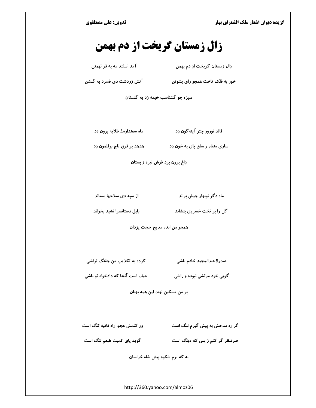تدوین: علی مصطفوی

# زال زمستان گریخت از دم بهمن

زال زمستان گریخت از دم بهمن

آمد اسفند مه به فر تهمتن

خور به فلک تاخت همچو رای پشوتن مسلم آتش زردشت دی فسرد به گلشن

سبزه چو گشتاسب خیمه زد به گلستان

قائد نوروز چتر آینه گون زد ماه سفندارمذ طلایه برون زد

ساری منقار و ساق پای به خون زد مسمعه و نظرق تاج بوقلمون زد

زاغ برون برد فرش تیره ز بستان

از سپه دی سلاحها بستاند ماه دگر نوبهار جیش براند

بلبل دستانسرا نشيد بخواند گل را بر تخت خسروی بنشاند

همچو من اندر مدیح حجت یزدان

کرده به تکذیب من جفنگ تراشی صدرا! عبدالمجيد خادم باشي

گویی خود مرتشی نبوده و راشی مسلم حیف است آنجا که دادخواه تو باشی

بر من مسكين نهند اين همه بهتان

ور کنمش هجو، راه قافیه تنگ است گر ره مدحش به پیش گیرم ننگ است

صرفنظر گر کنم ز بس که دبنگ است مسلم گوید پای کمیت طبعم لنگ است

به که برم شکوه پیش شاه خراسان